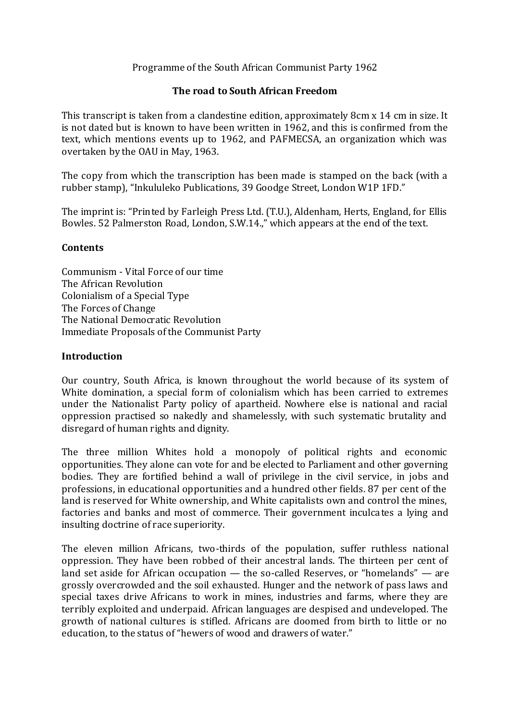Programme of the South African Communist Party 1962

### **The road to South African Freedom**

This transcript is taken from a clandestine edition, approximately 8cm x 14 cm in size. It is not dated but is known to have been written in 1962, and this is confirmed from the text, which mentions events up to 1962, and PAFMECSA, an organization which was overtaken by the OAU in May, 1963.

The copy from which the transcription has been made is stamped on the back (with a rubber stamp), "Inkululeko Publications, 39 Goodge Street, London W1P 1FD."

The imprint is: "Printed by Farleigh Press Ltd. (T.U.), Aldenham, Herts, England, for Ellis Bowles. 52 Palmerston Road, London, S.W.14.," which appears at the end of the text.

#### **Contents**

Communism - Vital Force of our time The African Revolution Colonialism of a Special Type The Forces of Change The National Democratic Revolution Immediate Proposals of the Communist Party

#### **Introduction**

Our country, South Africa, is known throughout the world because of its system of White domination, a special form of colonialism which has been carried to extremes under the Nationalist Party policy of apartheid. Nowhere else is national and racial oppression practised so nakedly and shamelessly, with such systematic brutality and disregard of human rights and dignity.

The three million Whites hold a monopoly of political rights and economic opportunities. They alone can vote for and be elected to Parliament and other governing bodies. They are fortified behind a wall of privilege in the civil service, in jobs and professions, in educational opportunities and a hundred other fields. 87 per cent of the land is reserved for White ownership, and White capitalists own and control the mines, factories and banks and most of commerce. Their government inculcates a lying and insulting doctrine of race superiority.

The eleven million Africans, two-thirds of the population, suffer ruthless national oppression. They have been robbed of their ancestral lands. The thirteen per cent of land set aside for African occupation — the so-called Reserves, or "homelands" — are grossly overcrowded and the soil exhausted. Hunger and the network of pass laws and special taxes drive Africans to work in mines, industries and farms, where they are terribly exploited and underpaid. African languages are despised and undeveloped. The growth of national cultures is stifled. Africans are doomed from birth to little or no education, to the status of "hewers of wood and drawers of water."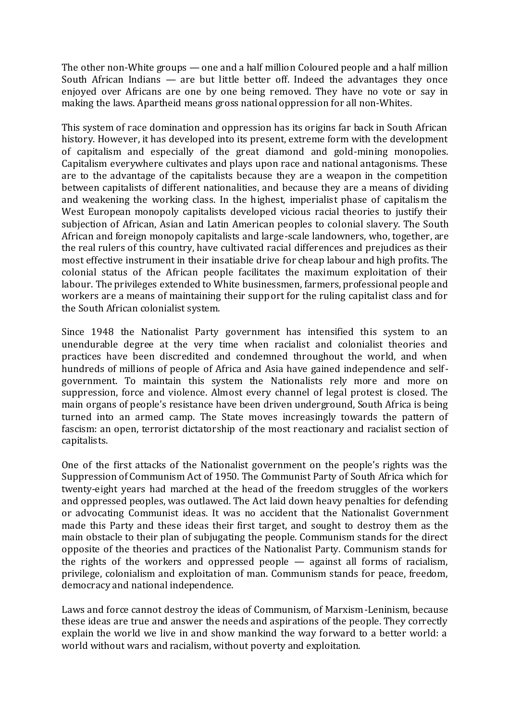The other non-White groups — one and a half million Coloured people and a half million South African Indians — are but little better off. Indeed the advantages they once enjoyed over Africans are one by one being removed. They have no vote or say in making the laws. Apartheid means gross national oppression for all non-Whites.

This system of race domination and oppression has its origins far back in South African history. However, it has developed into its present, extreme form with the development of capitalism and especially of the great diamond and gold-mining monopolies. Capitalism everywhere cultivates and plays upon race and national antagonisms. These are to the advantage of the capitalists because they are a weapon in the competition between capitalists of different nationalities, and because they are a means of dividing and weakening the working class. In the highest, imperialist phase of capitalism the West European monopoly capitalists developed vicious racial theories to justify their subjection of African, Asian and Latin American peoples to colonial slavery. The South African and foreign monopoly capitalists and large-scale landowners, who, together, are the real rulers of this country, have cultivated racial differences and prejudices as their most effective instrument in their insatiable drive for cheap labour and high profits. The colonial status of the African people facilitates the maximum exploitation of their labour. The privileges extended to White businessmen, farmers, professional people and workers are a means of maintaining their support for the ruling capitalist class and for the South African colonialist system.

Since 1948 the Nationalist Party government has intensified this system to an unendurable degree at the very time when racialist and colonialist theories and practices have been discredited and condemned throughout the world, and when hundreds of millions of people of Africa and Asia have gained independence and selfgovernment. To maintain this system the Nationalists rely more and more on suppression, force and violence. Almost every channel of legal protest is closed. The main organs of people's resistance have been driven underground, South Africa is being turned into an armed camp. The State moves increasingly towards the pattern of fascism: an open, terrorist dictatorship of the most reactionary and racialist section of capitalists.

One of the first attacks of the Nationalist government on the people's rights was the Suppression of Communism Act of 1950. The Communist Party of South Africa which for twenty-eight years had marched at the head of the freedom struggles of the workers and oppressed peoples, was outlawed. The Act laid down heavy penalties for defending or advocating Communist ideas. It was no accident that the Nationalist Government made this Party and these ideas their first target, and sought to destroy them as the main obstacle to their plan of subjugating the people. Communism stands for the direct opposite of the theories and practices of the Nationalist Party. Communism stands for the rights of the workers and oppressed people — against all forms of racialism, privilege, colonialism and exploitation of man. Communism stands for peace, freedom, democracy and national independence.

Laws and force cannot destroy the ideas of Communism, of Marxism-Leninism, because these ideas are true and answer the needs and aspirations of the people. They correctly explain the world we live in and show mankind the way forward to a better world: a world without wars and racialism, without poverty and exploitation.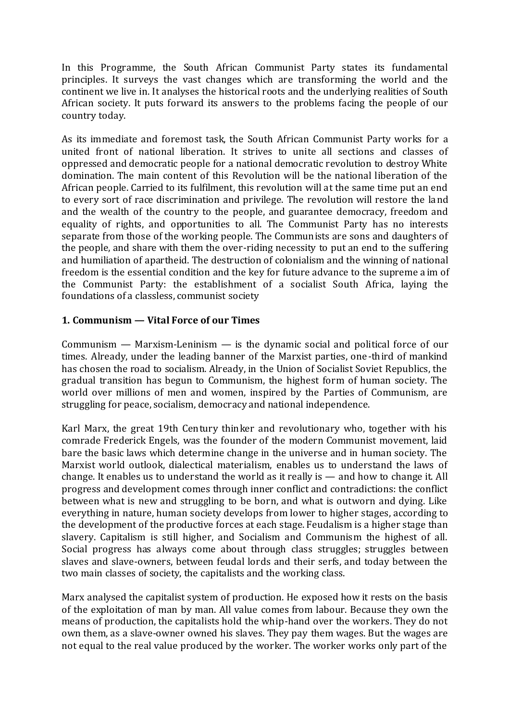In this Programme, the South African Communist Party states its fundamental principles. It surveys the vast changes which are transforming the world and the continent we live in. It analyses the historical roots and the underlying realities of South African society. It puts forward its answers to the problems facing the people of our country today.

As its immediate and foremost task, the South African Communist Party works for a united front of national liberation. It strives to unite all sections and classes of oppressed and democratic people for a national democratic revolution to destroy White domination. The main content of this Revolution will be the national liberation of the African people. Carried to its fulfilment, this revolution will at the same time put an end to every sort of race discrimination and privilege. The revolution will restore the land and the wealth of the country to the people, and guarantee democracy, freedom and equality of rights, and opportunities to all. The Communist Party has no interests separate from those of the working people. The Communists are sons and daughters of the people, and share with them the over-riding necessity to put an end to the suffering and humiliation of apartheid. The destruction of colonialism and the winning of national freedom is the essential condition and the key for future advance to the supreme a im of the Communist Party: the establishment of a socialist South Africa, laying the foundations of a classless, communist society

## **1. Communism — Vital Force of our Times**

Communism — Marxism-Leninism — is the dynamic social and political force of our times. Already, under the leading banner of the Marxist parties, one-third of mankind has chosen the road to socialism. Already, in the Union of Socialist Soviet Republics, the gradual transition has begun to Communism, the highest form of human society. The world over millions of men and women, inspired by the Parties of Communism, are struggling for peace, socialism, democracy and national independence.

Karl Marx, the great 19th Century thinker and revolutionary who, together with his comrade Frederick Engels, was the founder of the modern Communist movement, laid bare the basic laws which determine change in the universe and in human society. The Marxist world outlook, dialectical materialism, enables us to understand the laws of change. It enables us to understand the world as it really is — and how to change it. All progress and development comes through inner conflict and contradictions: the conflict between what is new and struggling to be born, and what is outworn and dying. Like everything in nature, human society develops from lower to higher stages, according to the development of the productive forces at each stage. Feudalism is a higher stage than slavery. Capitalism is still higher, and Socialism and Communism the highest of all. Social progress has always come about through class struggles; struggles between slaves and slave-owners, between feudal lords and their serfs, and today between the two main classes of society, the capitalists and the working class.

Marx analysed the capitalist system of production. He exposed how it rests on the basis of the exploitation of man by man. All value comes from labour. Because they own the means of production, the capitalists hold the whip-hand over the workers. They do not own them, as a slave-owner owned his slaves. They pay them wages. But the wages are not equal to the real value produced by the worker. The worker works only part of the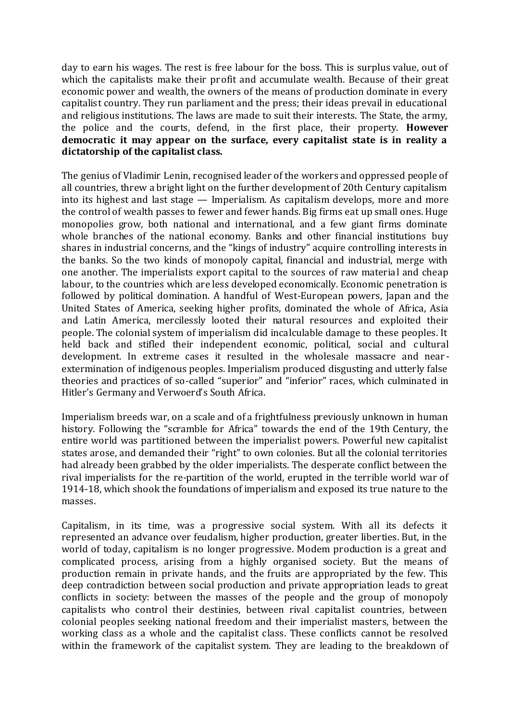day to earn his wages. The rest is free labour for the boss. This is surplus value, out of which the capitalists make their profit and accumulate wealth. Because of their great economic power and wealth, the owners of the means of production dominate in every capitalist country. They run parliament and the press; their ideas prevail in educational and religious institutions. The laws are made to suit their interests. The State, the army, the police and the courts, defend, in the first place, their property. **However democratic it may appear on the surface, every capitalist state is in reality a dictatorship of the capitalist class.**

The genius of Vladimir Lenin, recognised leader of the workers and oppressed people of all countries, threw a bright light on the further development of 20th Century capitalism into its highest and last stage — Imperialism. As capitalism develops, more and more the control of wealth passes to fewer and fewer hands. Big firms eat up small ones. Huge monopolies grow, both national and international, and a few giant firms dominate whole branches of the national economy. Banks and other financial institutions buy shares in industrial concerns, and the "kings of industry" acquire controlling interests in the banks. So the two kinds of monopoly capital, financial and industrial, merge with one another. The imperialists export capital to the sources of raw material and cheap labour, to the countries which are less developed economically. Economic penetration is followed by political domination. A handful of West-European powers, Japan and the United States of America, seeking higher profits, dominated the whole of Africa, Asia and Latin America, mercilessly looted their natural resources and exploited their people. The colonial system of imperialism did incalculable damage to these peoples. It held back and stifled their independent economic, political, social and cultural development. In extreme cases it resulted in the wholesale massacre and near extermination of indigenous peoples. Imperialism produced disgusting and utterly false theories and practices of so-called "superior" and "inferior" races, which culminated in Hitler's Germany and Verwoerd's South Africa.

Imperialism breeds war, on a scale and of a frightfulness previously unknown in human history. Following the "scramble for Africa" towards the end of the 19th Century, the entire world was partitioned between the imperialist powers. Powerful new capitalist states arose, and demanded their "right" to own colonies. But all the colonial territories had already been grabbed by the older imperialists. The desperate conflict between the rival imperialists for the re-partition of the world, erupted in the terrible world war of 1914-18, which shook the foundations of imperialism and exposed its true nature to the masses.

Capitalism, in its time, was a progressive social system. With all its defects it represented an advance over feudalism, higher production, greater liberties. But, in the world of today, capitalism is no longer progressive. Modem production is a great and complicated process, arising from a highly organised society. But the means of production remain in private hands, and the fruits are appropriated by the few. This deep contradiction between social production and private appropriation leads to great conflicts in society: between the masses of the people and the group of monopoly capitalists who control their destinies, between rival capitalist countries, between colonial peoples seeking national freedom and their imperialist masters, between the working class as a whole and the capitalist class. These conflicts cannot be resolved within the framework of the capitalist system. They are leading to the breakdown of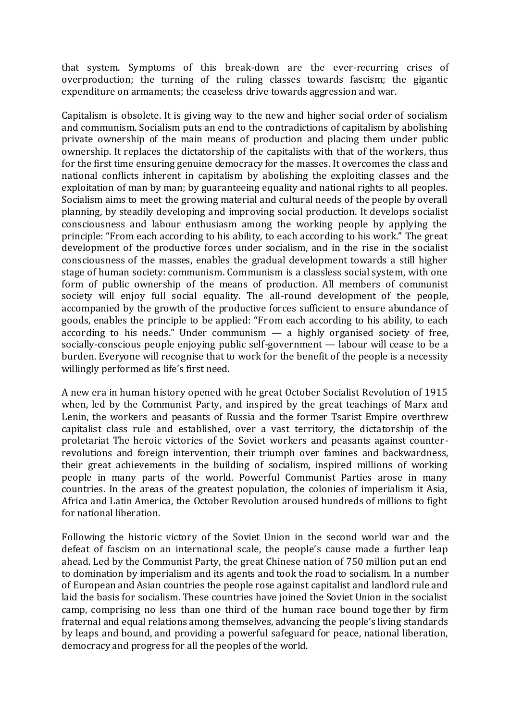that system. Symptoms of this break-down are the ever-recurring crises of overproduction; the turning of the ruling classes towards fascism; the gigantic expenditure on armaments; the ceaseless drive towards aggression and war.

Capitalism is obsolete. It is giving way to the new and higher social order of socialism and communism. Socialism puts an end to the contradictions of capitalism by abolishing private ownership of the main means of production and placing them under public ownership. It replaces the dictatorship of the capitalists with that of the workers, thus for the first time ensuring genuine democracy for the masses. It overcomes the class and national conflicts inherent in capitalism by abolishing the exploiting classes and the exploitation of man by man; by guaranteeing equality and national rights to all peoples. Socialism aims to meet the growing material and cultural needs of the people by overall planning, by steadily developing and improving social production. It develops socialist consciousness and labour enthusiasm among the working people by applying the principle: "From each according to his ability, to each according to his work." The great development of the productive forces under socialism, and in the rise in the socialist consciousness of the masses, enables the gradual development towards a still higher stage of human society: communism. Communism is a classless social system, with one form of public ownership of the means of production. All members of communist society will enjoy full social equality. The all-round development of the people, accompanied by the growth of the productive forces sufficient to ensure abundance of goods, enables the principle to be applied: "From each according to his ability, to each according to his needs." Under communism  $-$  a highly organised society of free, socially-conscious people enjoying public self-government — labour will cease to be a burden. Everyone will recognise that to work for the benefit of the people is a necessity willingly performed as life's first need.

A new era in human history opened with he great October Socialist Revolution of 1915 when, led by the Communist Party, and inspired by the great teachings of Marx and Lenin, the workers and peasants of Russia and the former Tsarist Empire overthrew capitalist class rule and established, over a vast territory, the dictatorship of the proletariat The heroic victories of the Soviet workers and peasants against counter revolutions and foreign intervention, their triumph over famines and backwardness, their great achievements in the building of socialism, inspired millions of working people in many parts of the world. Powerful Communist Parties arose in many countries. In the areas of the greatest population, the colonies of imperialism it Asia, Africa and Latin America, the October Revolution aroused hundreds of millions to fight for national liberation.

Following the historic victory of the Soviet Union in the second world war and the defeat of fascism on an international scale, the people's cause made a further leap ahead. Led by the Communist Party, the great Chinese nation of 750 million put an end to domination by imperialism and its agents and took the road to socialism. In a number of European and Asian countries the people rose against capitalist and landlord rule and laid the basis for socialism. These countries have joined the Soviet Union in the socialist camp, comprising no less than one third of the human race bound together by firm fraternal and equal relations among themselves, advancing the people's living standards by leaps and bound, and providing a powerful safeguard for peace, national liberation, democracy and progress for all the peoples of the world.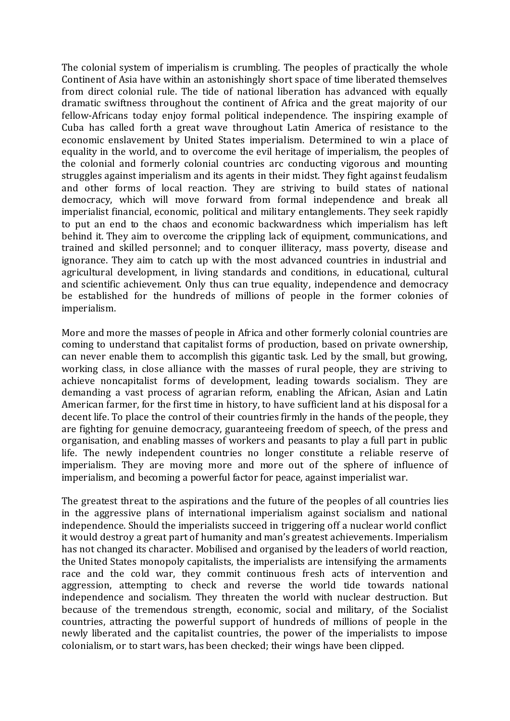The colonial system of imperialism is crumbling. The peoples of practically the whole Continent of Asia have within an astonishingly short space of time liberated themselves from direct colonial rule. The tide of national liberation has advanced with equally dramatic swiftness throughout the continent of Africa and the great majority of our fellow-Africans today enjoy formal political independence. The inspiring example of Cuba has called forth a great wave throughout Latin America of resistance to the economic enslavement by United States imperialism. Determined to win a place of equality in the world, and to overcome the evil heritage of imperialism, the peoples of the colonial and formerly colonial countries arc conducting vigorous and mounting struggles against imperialism and its agents in their midst. They fight against feudalism and other forms of local reaction. They are striving to build states of national democracy, which will move forward from formal independence and break all imperialist financial, economic, political and military entanglements. They seek rapidly to put an end to the chaos and economic backwardness which imperialism has left behind it. They aim to overcome the crippling lack of equipment, communications, and trained and skilled personnel; and to conquer illiteracy, mass poverty, disease and ignorance. They aim to catch up with the most advanced countries in industrial and agricultural development, in living standards and conditions, in educational, cultural and scientific achievement. Only thus can true equality, independence and democracy be established for the hundreds of millions of people in the former colonies of imperialism.

More and more the masses of people in Africa and other formerly colonial countries are coming to understand that capitalist forms of production, based on private ownership, can never enable them to accomplish this gigantic task. Led by the small, but growing, working class, in close alliance with the masses of rural people, they are striving to achieve noncapitalist forms of development, leading towards socialism. They are demanding a vast process of agrarian reform, enabling the African, Asian and Latin American farmer, for the first time in history, to have sufficient land at his disposal for a decent life. To place the control of their countries firmly in the hands of the people, they are fighting for genuine democracy, guaranteeing freedom of speech, of the press and organisation, and enabling masses of workers and peasants to play a full part in public life. The newly independent countries no longer constitute a reliable reserve of imperialism. They are moving more and more out of the sphere of influence of imperialism, and becoming a powerful factor for peace, against imperialist war.

The greatest threat to the aspirations and the future of the peoples of all countries lies in the aggressive plans of international imperialism against socialism and national independence. Should the imperialists succeed in triggering off a nuclear world conflict it would destroy a great part of humanity and man's greatest achievements. Imperialism has not changed its character. Mobilised and organised by the leaders of world reaction, the United States monopoly capitalists, the imperialists are intensifying the armaments race and the cold war, they commit continuous fresh acts of intervention and aggression, attempting to check and reverse the world tide towards national independence and socialism. They threaten the world with nuclear destruction. But because of the tremendous strength, economic, social and military, of the Socialist countries, attracting the powerful support of hundreds of millions of people in the newly liberated and the capitalist countries, the power of the imperialists to impose colonialism, or to start wars, has been checked; their wings have been clipped.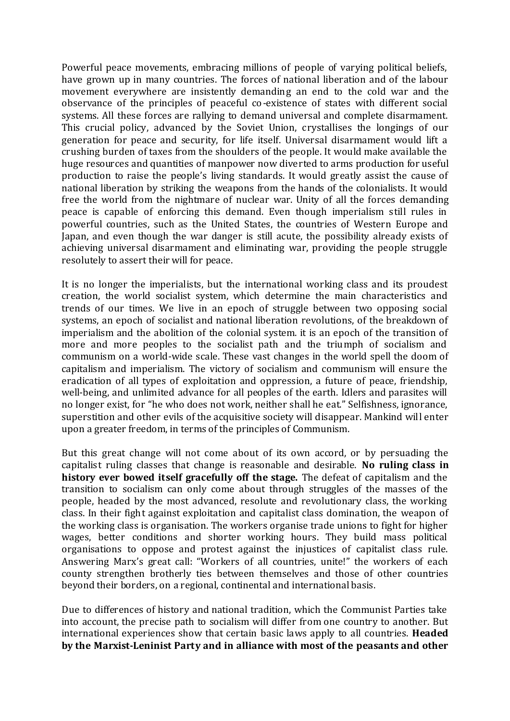Powerful peace movements, embracing millions of people of varying political beliefs, have grown up in many countries. The forces of national liberation and of the labour movement everywhere are insistently demanding an end to the cold war and the observance of the principles of peaceful co-existence of states with different social systems. All these forces are rallying to demand universal and complete disarmament. This crucial policy, advanced by the Soviet Union, crystallises the longings of our generation for peace and security, for life itself. Universal disarmament would lift a crushing burden of taxes from the shoulders of the people. It would make available the huge resources and quantities of manpower now diverted to arms production for useful production to raise the people's living standards. It would greatly assist the cause of national liberation by striking the weapons from the hands of the colonialists. It would free the world from the nightmare of nuclear war. Unity of all the forces demanding peace is capable of enforcing this demand. Even though imperialism still rules in powerful countries, such as the United States, the countries of Western Europe and Japan, and even though the war danger is still acute, the possibility already exists of achieving universal disarmament and eliminating war, providing the people struggle resolutely to assert their will for peace.

It is no longer the imperialists, but the international working class and its proudest creation, the world socialist system, which determine the main characteristics and trends of our times. We live in an epoch of struggle between two opposing social systems, an epoch of socialist and national liberation revolutions, of the breakdown of imperialism and the abolition of the colonial system. it is an epoch of the transition of more and more peoples to the socialist path and the triumph of socialism and communism on a world-wide scale. These vast changes in the world spell the doom of capitalism and imperialism. The victory of socialism and communism will ensure the eradication of all types of exploitation and oppression, a future of peace, friendship, well-being, and unlimited advance for all peoples of the earth. Idlers and parasites will no longer exist, for "he who does not work, neither shall he eat." Selfishness, ignorance, superstition and other evils of the acquisitive society will disappear. Mankind will enter upon a greater freedom, in terms of the principles of Communism.

But this great change will not come about of its own accord, or by persuading the capitalist ruling classes that change is reasonable and desirable. **No ruling class in history ever bowed itself gracefully off the stage.** The defeat of capitalism and the transition to socialism can only come about through struggles of the masses of the people, headed by the most advanced, resolute and revolutionary class, the working class. In their fight against exploitation and capitalist class domination, the weapon of the working class is organisation. The workers organise trade unions to fight for higher wages, better conditions and shorter working hours. They build mass political organisations to oppose and protest against the injustices of capitalist class rule. Answering Marx's great call: "Workers of all countries, unite!" the workers of each county strengthen brotherly ties between themselves and those of other countries beyond their borders, on a regional, continental and international basis.

Due to differences of history and national tradition, which the Communist Parties take into account, the precise path to socialism will differ from one country to another. But international experiences show that certain basic laws apply to all countries. **Headed by the Marxist-Leninist Party and in alliance with most of the peasants and other**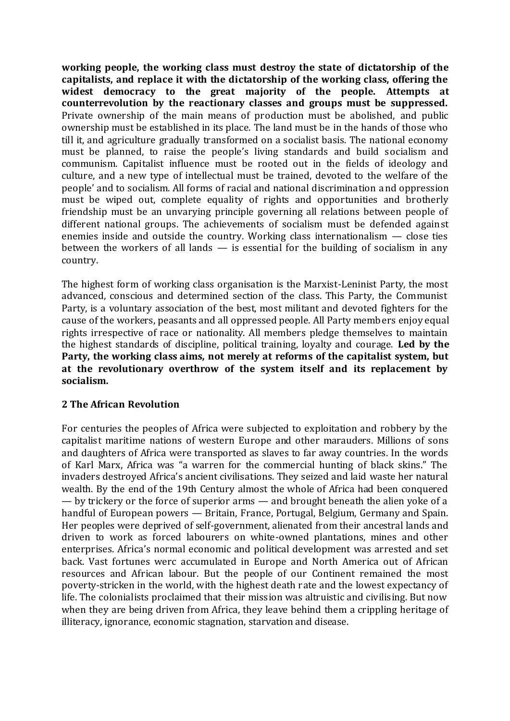**working people, the working class must destroy the state of dictatorship of the capitalists, and replace it with the dictatorship of the working class, offering the widest democracy to the great majority of the people. Attempts at counterrevolution by the reactionary classes and groups must be suppressed.** Private ownership of the main means of production must be abolished, and public ownership must be established in its place. The land must be in the hands of those who till it, and agriculture gradually transformed on a socialist basis. The national economy must be planned, to raise the people's living standards and build socialism and communism. Capitalist influence must be rooted out in the fields of ideology and culture, and a new type of intellectual must be trained, devoted to the welfare of the people' and to socialism. All forms of racial and national discrimination and oppression must be wiped out, complete equality of rights and opportunities and brotherly friendship must be an unvarying principle governing all relations between people of different national groups. The achievements of socialism must be defended against enemies inside and outside the country. Working class internationalism — close ties between the workers of all lands — is essential for the building of socialism in any country.

The highest form of working class organisation is the Marxist-Leninist Party, the most advanced, conscious and determined section of the class. This Party, the Communist Party, is a voluntary association of the best, most militant and devoted fighters for the cause of the workers, peasants and all oppressed people. All Party members enjoy equal rights irrespective of race or nationality. All members pledge themselves to maintain the highest standards of discipline, political training, loyalty and courage. **Led by the Party, the working class aims, not merely at reforms of the capitalist system, but at the revolutionary overthrow of the system itself and its replacement by socialism.**

# **2 The African Revolution**

For centuries the peoples of Africa were subjected to exploitation and robbery by the capitalist maritime nations of western Europe and other marauders. Millions of sons and daughters of Africa were transported as slaves to far away countries. In the words of Karl Marx, Africa was "a warren for the commercial hunting of black skins." The invaders destroyed Africa's ancient civilisations. They seized and laid waste her natural wealth. By the end of the 19th Century almost the whole of Africa had been conquered — by trickery or the force of superior arms — and brought beneath the alien yoke of a handful of European powers — Britain, France, Portugal, Belgium, Germany and Spain. Her peoples were deprived of self-government, alienated from their ancestral lands and driven to work as forced labourers on white-owned plantations, mines and other enterprises. Africa's normal economic and political development was arrested and set back. Vast fortunes werc accumulated in Europe and North America out of African resources and African labour. But the people of our Continent remained the most poverty-stricken in the world, with the highest death rate and the lowest expectancy of life. The colonialists proclaimed that their mission was altruistic and civilising. But now when they are being driven from Africa, they leave behind them a crippling heritage of illiteracy, ignorance, economic stagnation, starvation and disease.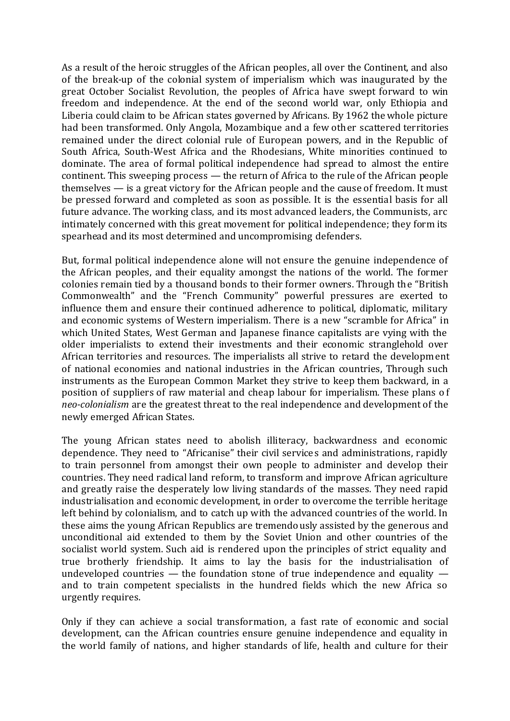As a result of the heroic struggles of the African peoples, all over the Continent, and also of the break-up of the colonial system of imperialism which was inaugurated by the great October Socialist Revolution, the peoples of Africa have swept forward to win freedom and independence. At the end of the second world war, only Ethiopia and Liberia could claim to be African states governed by Africans. By 1962 the whole picture had been transformed. Only Angola, Mozambique and a few other scattered territories remained under the direct colonial rule of European powers, and in the Republic of South Africa, South-West Africa and the Rhodesians, White minorities continued to dominate. The area of formal political independence had spread to almost the entire continent. This sweeping process — the return of Africa to the rule of the African people themselves — is a great victory for the African people and the cause of freedom. It must be pressed forward and completed as soon as possible. It is the essential basis for all future advance. The working class, and its most advanced leaders, the Communists, arc intimately concerned with this great movement for political independence; they form its spearhead and its most determined and uncompromising defenders.

But, formal political independence alone will not ensure the genuine independence of the African peoples, and their equality amongst the nations of the world. The former colonies remain tied by a thousand bonds to their former owners. Through the "British Commonwealth" and the "French Community" powerful pressures are exerted to influence them and ensure their continued adherence to political, diplomatic, military and economic systems of Western imperialism. There is a new "scramble for Africa" in which United States, West German and Japanese finance capitalists are vying with the older imperialists to extend their investments and their economic stranglehold over African territories and resources. The imperialists all strive to retard the development of national economies and national industries in the African countries, Through such instruments as the European Common Market they strive to keep them backward, in a position of suppliers of raw material and cheap labour for imperialism. These plans o f *neo-colonialism* are the greatest threat to the real independence and development of the newly emerged African States.

The young African states need to abolish illiteracy, backwardness and economic dependence. They need to "Africanise" their civil services and administrations, rapidly to train personnel from amongst their own people to administer and develop their countries. They need radical land reform, to transform and improve African agriculture and greatly raise the desperately low living standards of the masses. They need rapid industrialisation and economic development, in order to overcome the terrible heritage left behind by colonialism, and to catch up with the advanced countries of the world. In these aims the young African Republics are tremendously assisted by the generous and unconditional aid extended to them by the Soviet Union and other countries of the socialist world system. Such aid is rendered upon the principles of strict equality and true brotherly friendship. It aims to lay the basis for the industrialisation of undeveloped countries  $-$  the foundation stone of true independence and equality  $$ and to train competent specialists in the hundred fields which the new Africa so urgently requires.

Only if they can achieve a social transformation, a fast rate of economic and social development, can the African countries ensure genuine independence and equality in the world family of nations, and higher standards of life, health and culture for their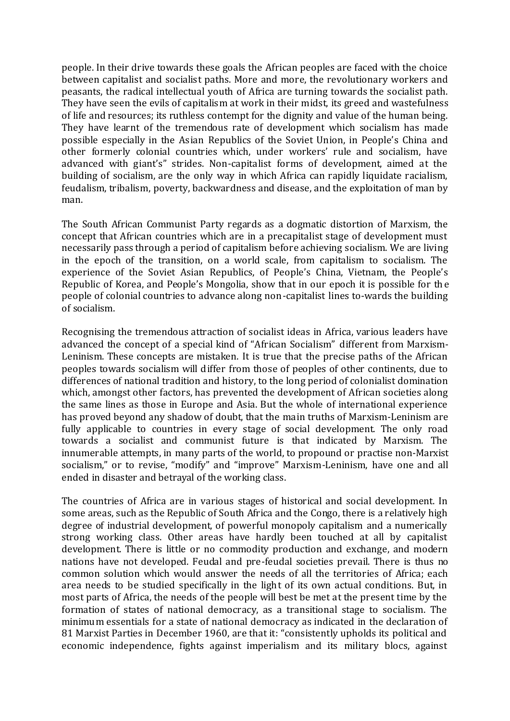people. In their drive towards these goals the African peoples are faced with the choice between capitalist and socialist paths. More and more, the revolutionary workers and peasants, the radical intellectual youth of Africa are turning towards the socialist path. They have seen the evils of capitalism at work in their midst, its greed and wastefulness of life and resources; its ruthless contempt for the dignity and value of the human being. They have learnt of the tremendous rate of development which socialism has made possible especially in the Asian Republics of the Soviet Union, in People's China and other formerly colonial countries which, under workers' rule and socialism, have advanced with giant's" strides. Non-capitalist forms of development, aimed at the building of socialism, are the only way in which Africa can rapidly liquidate racialism, feudalism, tribalism, poverty, backwardness and disease, and the exploitation of man by man.

The South African Communist Party regards as a dogmatic distortion of Marxism, the concept that African countries which are in a precapitalist stage of development must necessarily pass through a period of capitalism before achieving socialism. We are living in the epoch of the transition, on a world scale, from capitalism to socialism. The experience of the Soviet Asian Republics, of People's China, Vietnam, the People's Republic of Korea, and People's Mongolia, show that in our epoch it is possible for the people of colonial countries to advance along non-capitalist lines to-wards the building of socialism.

Recognising the tremendous attraction of socialist ideas in Africa, various leaders have advanced the concept of a special kind of "African Socialism" different from Marxism-Leninism. These concepts are mistaken. It is true that the precise paths of the African peoples towards socialism will differ from those of peoples of other continents, due to differences of national tradition and history, to the long period of colonialist domination which, amongst other factors, has prevented the development of African societies along the same lines as those in Europe and Asia. But the whole of international experience has proved beyond any shadow of doubt, that the main truths of Marxism-Leninism are fully applicable to countries in every stage of social development. The only road towards a socialist and communist future is that indicated by Marxism. The innumerable attempts, in many parts of the world, to propound or practise non-Marxist socialism," or to revise, "modify" and "improve" Marxism-Leninism, have one and all ended in disaster and betrayal of the working class.

The countries of Africa are in various stages of historical and social development. In some areas, such as the Republic of South Africa and the Congo, there is a relatively high degree of industrial development, of powerful monopoly capitalism and a numerically strong working class. Other areas have hardly been touched at all by capitalist development. There is little or no commodity production and exchange, and modern nations have not developed. Feudal and pre-feudal societies prevail. There is thus no common solution which would answer the needs of all the territories of Africa; each area needs to be studied specifically in the light of its own actual conditions. But, in most parts of Africa, the needs of the people will best be met at the present time by the formation of states of national democracy, as a transitional stage to socialism. The minimum essentials for a state of national democracy as indicated in the declaration of 81 Marxist Parties in December 1960, are that it: "consistently upholds its political and economic independence, fights against imperialism and its military blocs, against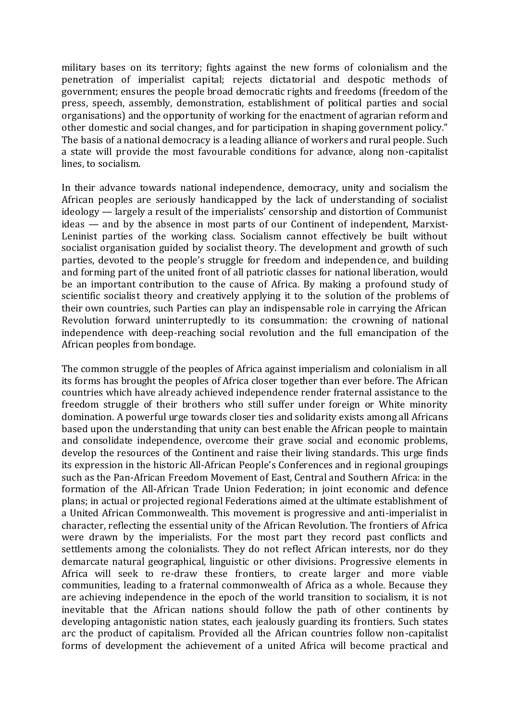military bases on its territory; fights against the new forms of colonialism and the penetration of imperialist capital; rejects dictatorial and despotic methods of government; ensures the people broad democratic rights and freedoms (freedom of the press, speech, assembly, demonstration, establishment of political parties and social organisations) and the opportunity of working for the enactment of agrarian reform and other domestic and social changes, and for participation in shaping government policy." The basis of a national democracy is a leading alliance of workers and rural people. Such a state will provide the most favourable conditions for advance, along non-capitalist lines, to socialism.

In their advance towards national independence, democracy, unity and socialism the African peoples are seriously handicapped by the lack of understanding of socialist ideology — largely a result of the imperialists' censorship and distortion of Communist ideas — and by the absence in most parts of our Continent of independent, Marxist-Leninist parties of the working class. Socialism cannot effectively be built without socialist organisation guided by socialist theory. The development and growth of such parties, devoted to the people's struggle for freedom and independence, and building and forming part of the united front of all patriotic classes for national liberation, would be an important contribution to the cause of Africa. By making a profound study of scientific socialist theory and creatively applying it to the solution of the problems of their own countries, such Parties can play an indispensable role in carrying the African Revolution forward uninterruptedly to its consummation: the crowning of national independence with deep-reaching social revolution and the full emancipation of the African peoples from bondage.

The common struggle of the peoples of Africa against imperialism and colonialism in all its forms has brought the peoples of Africa closer together than ever before. The African countries which have already achieved independence render fraternal assistance to the freedom struggle of their brothers who still suffer under foreign or White minority domination. A powerful urge towards closer ties and solidarity exists among all Africans based upon the understanding that unity can best enable the African people to maintain and consolidate independence, overcome their grave social and economic problems, develop the resources of the Continent and raise their living standards. This urge finds its expression in the historic All-African People's Conferences and in regional groupings such as the Pan-African Freedom Movement of East, Central and Southern Africa: in the formation of the All-African Trade Union Federation; in joint economic and defence plans; in actual or projected regional Federations aimed at the ultimate establishment of a United African Commonwealth. This movement is progressive and anti-imperialist in character, reflecting the essential unity of the African Revolution. The frontiers of Africa were drawn by the imperialists. For the most part they record past conflicts and settlements among the colonialists. They do not reflect African interests, nor do they demarcate natural geographical, linguistic or other divisions. Progressive elements in Africa will seek to re-draw these frontiers, to create larger and more viable communities, leading to a fraternal commonwealth of Africa as a whole. Because they are achieving independence in the epoch of the world transition to socialism, it is not inevitable that the African nations should follow the path of other continents by developing antagonistic nation states, each jealously guarding its frontiers. Such states arc the product of capitalism. Provided all the African countries follow non-capitalist forms of development the achievement of a united Africa will become practical and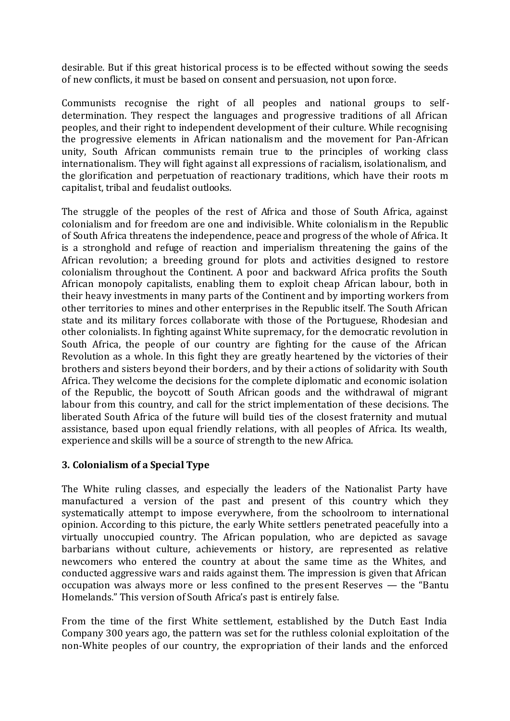desirable. But if this great historical process is to be effected without sowing the seeds of new conflicts, it must be based on consent and persuasion, not upon force.

Communists recognise the right of all peoples and national groups to selfdetermination. They respect the languages and progressive traditions of all African peoples, and their right to independent development of their culture. While recognising the progressive elements in African nationalism and the movement for Pan-African unity, South African communists remain true to the principles of working class internationalism. They will fight against all expressions of racialism, isolationalism, and the glorification and perpetuation of reactionary traditions, which have their roots m capitalist, tribal and feudalist outlooks.

The struggle of the peoples of the rest of Africa and those of South Africa, against colonialism and for freedom are one and indivisible. White colonialism in the Republic of South Africa threatens the independence, peace and progress of the whole of Africa. It is a stronghold and refuge of reaction and imperialism threatening the gains of the African revolution; a breeding ground for plots and activities designed to restore colonialism throughout the Continent. A poor and backward Africa profits the South African monopoly capitalists, enabling them to exploit cheap African labour, both in their heavy investments in many parts of the Continent and by importing workers from other territories to mines and other enterprises in the Republic itself. The South African state and its military forces collaborate with those of the Portuguese, Rhodesian and other colonialists. In fighting against White supremacy, for the democratic revolution in South Africa, the people of our country are fighting for the cause of the African Revolution as a whole. In this fight they are greatly heartened by the victories of their brothers and sisters beyond their borders, and by their actions of solidarity with South Africa. They welcome the decisions for the complete diplomatic and economic isolation of the Republic, the boycott of South African goods and the withdrawal of migrant labour from this country, and call for the strict implementation of these decisions. The liberated South Africa of the future will build ties of the closest fraternity and mutual assistance, based upon equal friendly relations, with all peoples of Africa. Its wealth, experience and skills will be a source of strength to the new Africa.

### **3. Colonialism of a Special Type**

The White ruling classes, and especially the leaders of the Nationalist Party have manufactured a version of the past and present of this country which they systematically attempt to impose everywhere, from the schoolroom to international opinion. According to this picture, the early White settlers penetrated peacefully into a virtually unoccupied country. The African population, who are depicted as savage barbarians without culture, achievements or history, are represented as relative newcomers who entered the country at about the same time as the Whites, and conducted aggressive wars and raids against them. The impression is given that African occupation was always more or less confined to the present Reserves — the "Bantu Homelands." This version of South Africa's past is entirely false.

From the time of the first White settlement, established by the Dutch East India Company 300 years ago, the pattern was set for the ruthless colonial exploitation of the non-White peoples of our country, the expropriation of their lands and the enforced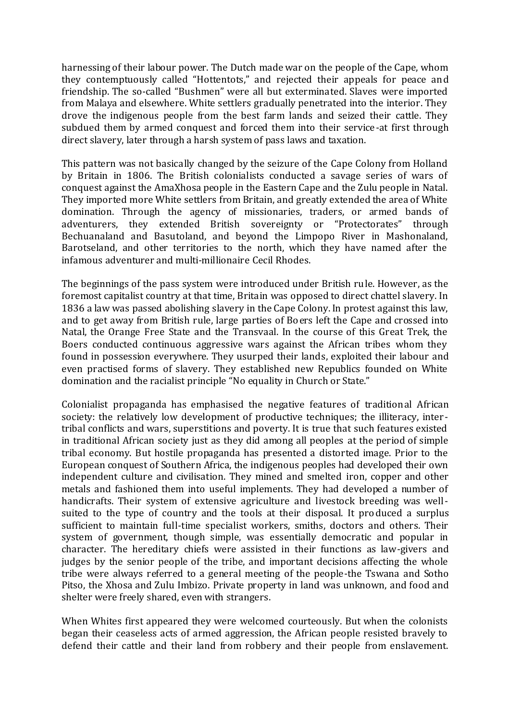harnessing of their labour power. The Dutch made war on the people of the Cape, whom they contemptuously called "Hottentots," and rejected their appeals for peace and friendship. The so-called "Bushmen" were all but exterminated. Slaves were imported from Malaya and elsewhere. White settlers gradually penetrated into the interior. They drove the indigenous people from the best farm lands and seized their cattle. They subdued them by armed conquest and forced them into their service-at first through direct slavery, later through a harsh system of pass laws and taxation.

This pattern was not basically changed by the seizure of the Cape Colony from Holland by Britain in 1806. The British colonialists conducted a savage series of wars of conquest against the AmaXhosa people in the Eastern Cape and the Zulu people in Natal. They imported more White settlers from Britain, and greatly extended the area of White domination. Through the agency of missionaries, traders, or armed bands of adventurers, they extended British sovereignty or "Protectorates" through Bechuanaland and Basutoland, and beyond the Limpopo River in Mashonaland, Barotseland, and other territories to the north, which they have named after the infamous adventurer and multi-millionaire Cecil Rhodes.

The beginnings of the pass system were introduced under British rule. However, as the foremost capitalist country at that time, Britain was opposed to direct chattel slavery. In 1836 a law was passed abolishing slavery in the Cape Colony. In protest against this law, and to get away from British rule, large parties of Boers left the Cape and crossed into Natal, the Orange Free State and the Transvaal. In the course of this Great Trek, the Boers conducted continuous aggressive wars against the African tribes whom they found in possession everywhere. They usurped their lands, exploited their labour and even practised forms of slavery. They established new Republics founded on White domination and the racialist principle "No equality in Church or State."

Colonialist propaganda has emphasised the negative features of traditional African society: the relatively low development of productive techniques; the illiteracy, inter tribal conflicts and wars, superstitions and poverty. It is true that such features existed in traditional African society just as they did among all peoples at the period of simple tribal economy. But hostile propaganda has presented a distorted image. Prior to the European conquest of Southern Africa, the indigenous peoples had developed their own independent culture and civilisation. They mined and smelted iron, copper and other metals and fashioned them into useful implements. They had developed a number of handicrafts. Their system of extensive agriculture and livestock breeding was wellsuited to the type of country and the tools at their disposal. It produced a surplus sufficient to maintain full-time specialist workers, smiths, doctors and others. Their system of government, though simple, was essentially democratic and popular in character. The hereditary chiefs were assisted in their functions as law-givers and judges by the senior people of the tribe, and important decisions affecting the whole tribe were always referred to a general meeting of the people-the Tswana and Sotho Pitso, the Xhosa and Zulu Imbizo. Private property in land was unknown, and food and shelter were freely shared, even with strangers.

When Whites first appeared they were welcomed courteously. But when the colonists began their ceaseless acts of armed aggression, the African people resisted bravely to defend their cattle and their land from robbery and their people from enslavement.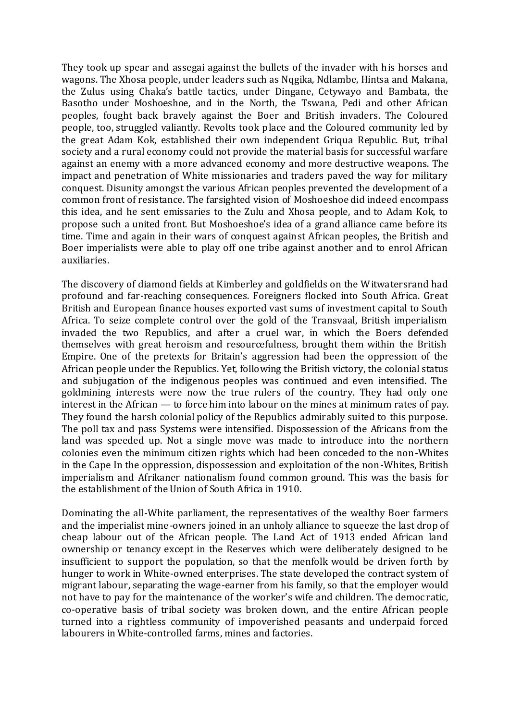They took up spear and assegai against the bullets of the invader with his horses and wagons. The Xhosa people, under leaders such as Nqgika, Ndlambe, Hintsa and Makana, the Zulus using Chaka's battle tactics, under Dingane, Cetywayo and Bambata, the Basotho under Moshoeshoe, and in the North, the Tswana, Pedi and other African peoples, fought back bravely against the Boer and British invaders. The Coloured people, too, struggled valiantly. Revolts took place and the Coloured community led by the great Adam Kok, established their own independent Griqua Republic. But, tribal society and a rural economy could not provide the material basis for successful warfare against an enemy with a more advanced economy and more destructive weapons. The impact and penetration of White missionaries and traders paved the way for military conquest. Disunity amongst the various African peoples prevented the development of a common front of resistance. The farsighted vision of Moshoeshoe did indeed encompass this idea, and he sent emissaries to the Zulu and Xhosa people, and to Adam Kok, to propose such a united front. But Moshoeshoe's idea of a grand alliance came before its time. Time and again in their wars of conquest against African peoples, the British and Boer imperialists were able to play off one tribe against another and to enrol African auxiliaries.

The discovery of diamond fields at Kimberley and goldfields on the Witwatersrand had profound and far-reaching consequences. Foreigners flocked into South Africa. Great British and European finance houses exported vast sums of investment capital to South Africa. To seize complete control over the gold of the Transvaal, British imperialism invaded the two Republics, and after a cruel war, in which the Boers defended themselves with great heroism and resourcefulness, brought them within the British Empire. One of the pretexts for Britain's aggression had been the oppression of the African people under the Republics. Yet, following the British victory, the colonial status and subjugation of the indigenous peoples was continued and even intensified. The goldmining interests were now the true rulers of the country. They had only one interest in the African — to force him into labour on the mines at minimum rates of pay. They found the harsh colonial policy of the Republics admirably suited to this purpose. The poll tax and pass Systems were intensified. Dispossession of the Africans from the land was speeded up. Not a single move was made to introduce into the northern colonies even the minimum citizen rights which had been conceded to the non-Whites in the Cape In the oppression, dispossession and exploitation of the non-Whites, British imperialism and Afrikaner nationalism found common ground. This was the basis for the establishment of the Union of South Africa in 1910.

Dominating the all-White parliament, the representatives of the wealthy Boer farmers and the imperialist mine-owners joined in an unholy alliance to squeeze the last drop of cheap labour out of the African people. The Land Act of 1913 ended African land ownership or tenancy except in the Reserves which were deliberately designed to be insufficient to support the population, so that the menfolk would be driven forth by hunger to work in White-owned enterprises. The state developed the contract system of migrant labour, separating the wage-earner from his family, so that the employer would not have to pay for the maintenance of the worker's wife and children. The democratic, co-operative basis of tribal society was broken down, and the entire African people turned into a rightless community of impoverished peasants and underpaid forced labourers in White-controlled farms, mines and factories.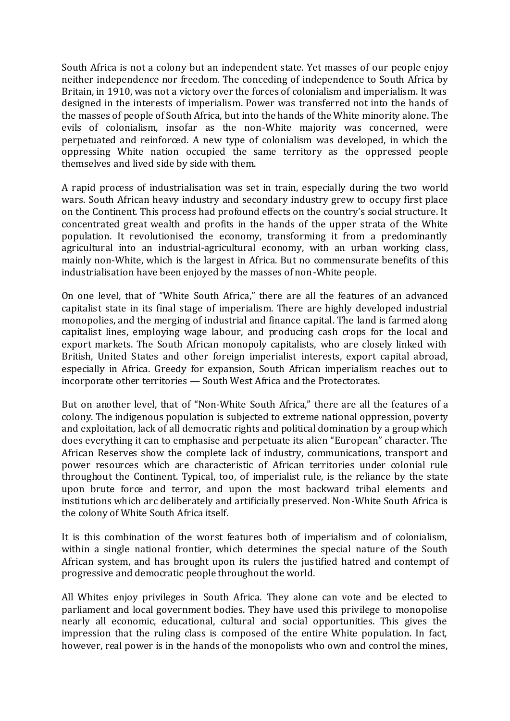South Africa is not a colony but an independent state. Yet masses of our people enjoy neither independence nor freedom. The conceding of independence to South Africa by Britain, in 1910, was not a victory over the forces of colonialism and imperialism. It was designed in the interests of imperialism. Power was transferred not into the hands of the masses of people of South Africa, but into the hands of the White minority alone. The evils of colonialism, insofar as the non-White majority was concerned, were perpetuated and reinforced. A new type of colonialism was developed, in which the oppressing White nation occupied the same territory as the oppressed people themselves and lived side by side with them.

A rapid process of industrialisation was set in train, especially during the two world wars. South African heavy industry and secondary industry grew to occupy first place on the Continent. This process had profound effects on the country's social structure. It concentrated great wealth and profits in the hands of the upper strata of the White population. It revolutionised the economy, transforming it from a predominantly agricultural into an industrial-agricultural economy, with an urban working class, mainly non-White, which is the largest in Africa. But no commensurate benefits of this industrialisation have been enjoyed by the masses of non-White people.

On one level, that of "White South Africa," there are all the features of an advanced capitalist state in its final stage of imperialism. There are highly developed industrial monopolies, and the merging of industrial and finance capital. The land is farmed along capitalist lines, employing wage labour, and producing cash crops for the local and export markets. The South African monopoly capitalists, who are closely linked with British, United States and other foreign imperialist interests, export capital abroad, especially in Africa. Greedy for expansion, South African imperialism reaches out to incorporate other territories — South West Africa and the Protectorates.

But on another level, that of "Non-White South Africa," there are all the features of a colony. The indigenous population is subjected to extreme national oppression, poverty and exploitation, lack of all democratic rights and political domination by a group which does everything it can to emphasise and perpetuate its alien "European" character. The African Reserves show the complete lack of industry, communications, transport and power resources which are characteristic of African territories under colonial rule throughout the Continent. Typical, too, of imperialist rule, is the reliance by the state upon brute force and terror, and upon the most backward tribal elements and institutions which arc deliberately and artificially preserved. Non-White South Africa is the colony of White South Africa itself.

It is this combination of the worst features both of imperialism and of colonialism, within a single national frontier, which determines the special nature of the South African system, and has brought upon its rulers the justified hatred and contempt of progressive and democratic people throughout the world.

All Whites enjoy privileges in South Africa. They alone can vote and be elected to parliament and local government bodies. They have used this privilege to monopolise nearly all economic, educational, cultural and social opportunities. This gives the impression that the ruling class is composed of the entire White population. In fact, however, real power is in the hands of the monopolists who own and control the mines,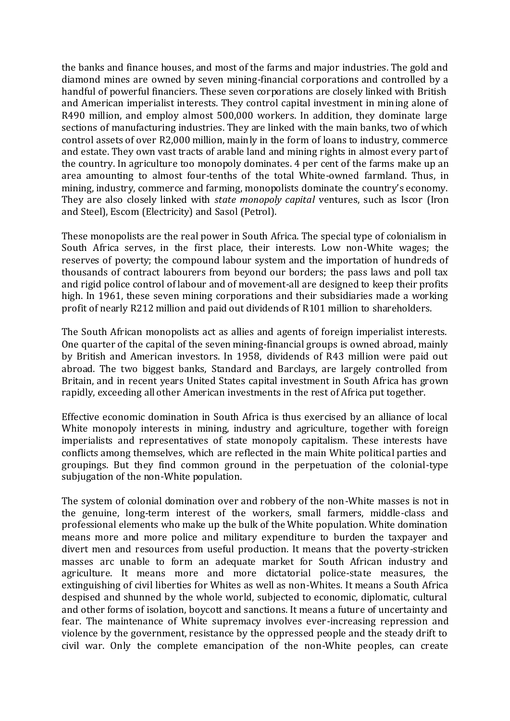the banks and finance houses, and most of the farms and major industries. The gold and diamond mines are owned by seven mining-financial corporations and controlled by a handful of powerful financiers. These seven corporations are closely linked with British and American imperialist interests. They control capital investment in mining alone of R490 million, and employ almost 500,000 workers. In addition, they dominate large sections of manufacturing industries. They are linked with the main banks, two of which control assets of over R2,000 million, mainly in the form of loans to industry, commerce and estate. They own vast tracts of arable land and mining rights in almost every part of the country. In agriculture too monopoly dominates. 4 per cent of the farms make up an area amounting to almost four-tenths of the total White-owned farmland. Thus, in mining, industry, commerce and farming, monopolists dominate the country's economy. They are also closely linked with *state monopoly capital* ventures, such as Iscor (Iron and Steel), Escom (Electricity) and Sasol (Petrol).

These monopolists are the real power in South Africa. The special type of colonialism in South Africa serves, in the first place, their interests. Low non-White wages; the reserves of poverty; the compound labour system and the importation of hundreds of thousands of contract labourers from beyond our borders; the pass laws and poll tax and rigid police control of labour and of movement-all are designed to keep their profits high. In 1961, these seven mining corporations and their subsidiaries made a working profit of nearly R212 million and paid out dividends of R101 million to shareholders.

The South African monopolists act as allies and agents of foreign imperialist interests. One quarter of the capital of the seven mining-financial groups is owned abroad, mainly by British and American investors. In 1958, dividends of R43 million were paid out abroad. The two biggest banks, Standard and Barclays, are largely controlled from Britain, and in recent years United States capital investment in South Africa has grown rapidly, exceeding all other American investments in the rest of Africa put together.

Effective economic domination in South Africa is thus exercised by an alliance of local White monopoly interests in mining, industry and agriculture, together with foreign imperialists and representatives of state monopoly capitalism. These interests have conflicts among themselves, which are reflected in the main White political parties and groupings. But they find common ground in the perpetuation of the colonial-type subjugation of the non-White population.

The system of colonial domination over and robbery of the non-White masses is not in the genuine, long-term interest of the workers, small farmers, middle-class and professional elements who make up the bulk of the White population. White domination means more and more police and military expenditure to burden the taxpayer and divert men and resources from useful production. It means that the poverty-stricken masses arc unable to form an adequate market for South African industry and agriculture. It means more and more dictatorial police-state measures, the extinguishing of civil liberties for Whites as well as non-Whites. It means a South Africa despised and shunned by the whole world, subjected to economic, diplomatic, cultural and other forms of isolation, boycott and sanctions. It means a future of uncertainty and fear. The maintenance of White supremacy involves ever-increasing repression and violence by the government, resistance by the oppressed people and the steady drift to civil war. Only the complete emancipation of the non-White peoples, can create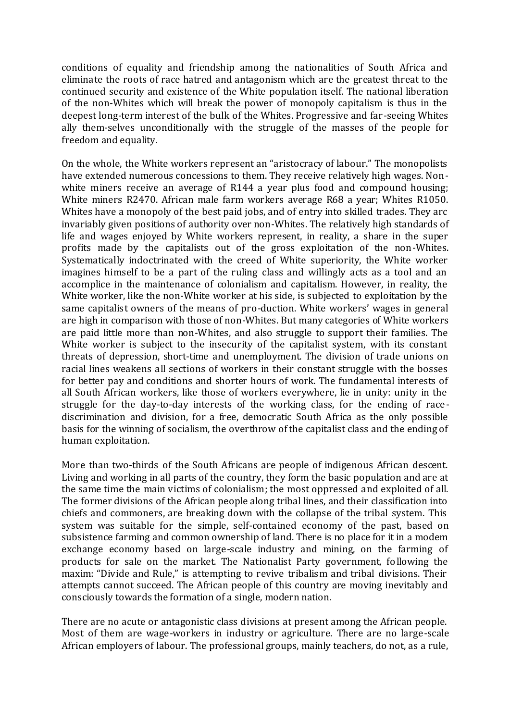conditions of equality and friendship among the nationalities of South Africa and eliminate the roots of race hatred and antagonism which are the greatest threat to the continued security and existence of the White population itself. The national liberation of the non-Whites which will break the power of monopoly capitalism is thus in the deepest long-term interest of the bulk of the Whites. Progressive and far-seeing Whites ally them-selves unconditionally with the struggle of the masses of the people for freedom and equality.

On the whole, the White workers represent an "aristocracy of labour." The monopolists have extended numerous concessions to them. They receive relatively high wages. Nonwhite miners receive an average of R144 a year plus food and compound housing; White miners R2470. African male farm workers average R68 a year; Whites R1050. Whites have a monopoly of the best paid jobs, and of entry into skilled trades. They arc invariably given positions of authority over non-Whites. The relatively high standards of life and wages enjoyed by White workers represent, in reality, a share in the super profits made by the capitalists out of the gross exploitation of the non-Whites. Systematically indoctrinated with the creed of White superiority, the White worker imagines himself to be a part of the ruling class and willingly acts as a tool and an accomplice in the maintenance of colonialism and capitalism. However, in reality, the White worker, like the non-White worker at his side, is subjected to exploitation by the same capitalist owners of the means of pro-duction. White workers' wages in general are high in comparison with those of non-Whites. But many categories of White workers are paid little more than non-Whites, and also struggle to support their families. The White worker is subject to the insecurity of the capitalist system, with its constant threats of depression, short-time and unemployment. The division of trade unions on racial lines weakens all sections of workers in their constant struggle with the bosses for better pay and conditions and shorter hours of work. The fundamental interests of all South African workers, like those of workers everywhere, lie in unity: unity in the struggle for the day-to-day interests of the working class, for the ending of racediscrimination and division, for a free, democratic South Africa as the only possible basis for the winning of socialism, the overthrow of the capitalist class and the ending of human exploitation.

More than two-thirds of the South Africans are people of indigenous African descent. Living and working in all parts of the country, they form the basic population and are at the same time the main victims of colonialism; the most oppressed and exploited of all. The former divisions of the African people along tribal lines, and their classification into chiefs and commoners, are breaking down with the collapse of the tribal system. This system was suitable for the simple, self-contained economy of the past, based on subsistence farming and common ownership of land. There is no place for it in a modem exchange economy based on large-scale industry and mining, on the farming of products for sale on the market. The Nationalist Party government, following the maxim: "Divide and Rule," is attempting to revive tribalism and tribal divisions. Their attempts cannot succeed. The African people of this country are moving inevitably and consciously towards the formation of a single, modern nation.

There are no acute or antagonistic class divisions at present among the African people. Most of them are wage-workers in industry or agriculture. There are no large-scale African employers of labour. The professional groups, mainly teachers, do not, as a rule,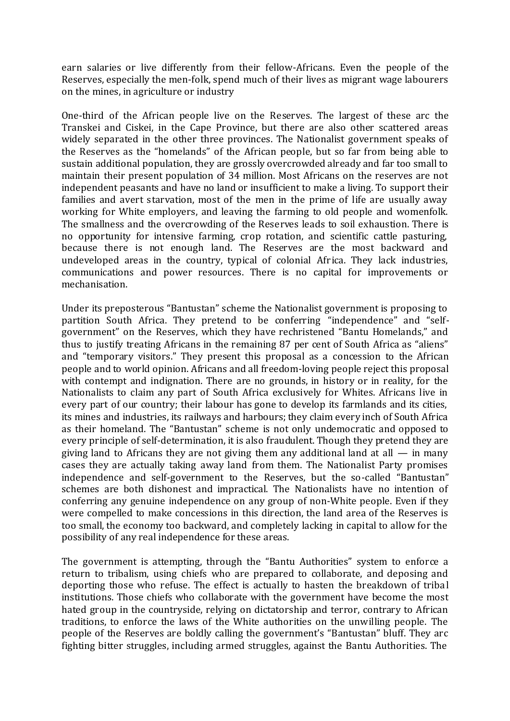earn salaries or live differently from their fellow-Africans. Even the people of the Reserves, especially the men-folk, spend much of their lives as migrant wage labourers on the mines, in agriculture or industry

One-third of the African people live on the Reserves. The largest of these arc the Transkei and Ciskei, in the Cape Province, but there are also other scattered areas widely separated in the other three provinces. The Nationalist government speaks of the Reserves as the "homelands" of the African people, but so far from being able to sustain additional population, they are grossly overcrowded already and far too small to maintain their present population of 34 million. Most Africans on the reserves are not independent peasants and have no land or insufficient to make a living. To support their families and avert starvation, most of the men in the prime of life are usually away working for White employers, and leaving the farming to old people and womenfolk. The smallness and the overcrowding of the Reserves leads to soil exhaustion. There is no opportunity for intensive farming, crop rotation, and scientific cattle pasturing, because there is not enough land. The Reserves are the most backward and undeveloped areas in the country, typical of colonial Africa. They lack industries, communications and power resources. There is no capital for improvements or mechanisation.

Under its preposterous "Bantustan" scheme the Nationalist government is proposing to partition South Africa. They pretend to be conferring "independence" and "selfgovernment" on the Reserves, which they have rechristened "Bantu Homelands," and thus to justify treating Africans in the remaining 87 per cent of South Africa as "aliens" and "temporary visitors." They present this proposal as a concession to the African people and to world opinion. Africans and all freedom-loving people reject this proposal with contempt and indignation. There are no grounds, in history or in reality, for the Nationalists to claim any part of South Africa exclusively for Whites. Africans live in every part of our country; their labour has gone to develop its farmlands and its cities, its mines and industries, its railways and harbours; they claim every inch of South Africa as their homeland. The "Bantustan" scheme is not only undemocratic and opposed to every principle of self-determination, it is also fraudulent. Though they pretend they are giving land to Africans they are not giving them any additional land at all  $-$  in many cases they are actually taking away land from them. The Nationalist Party promises independence and self-government to the Reserves, but the so-called "Bantustan" schemes are both dishonest and impractical. The Nationalists have no intention of conferring any genuine independence on any group of non-White people. Even if they were compelled to make concessions in this direction, the land area of the Reserves is too small, the economy too backward, and completely lacking in capital to allow for the possibility of any real independence for these areas.

The government is attempting, through the "Bantu Authorities" system to enforce a return to tribalism, using chiefs who are prepared to collaborate, and deposing and deporting those who refuse. The effect is actually to hasten the breakdown of tribal institutions. Those chiefs who collaborate with the government have become the most hated group in the countryside, relying on dictatorship and terror, contrary to African traditions, to enforce the laws of the White authorities on the unwilling people. The people of the Reserves are boldly calling the government's "Bantustan" bluff. They arc fighting bitter struggles, including armed struggles, against the Bantu Authorities. The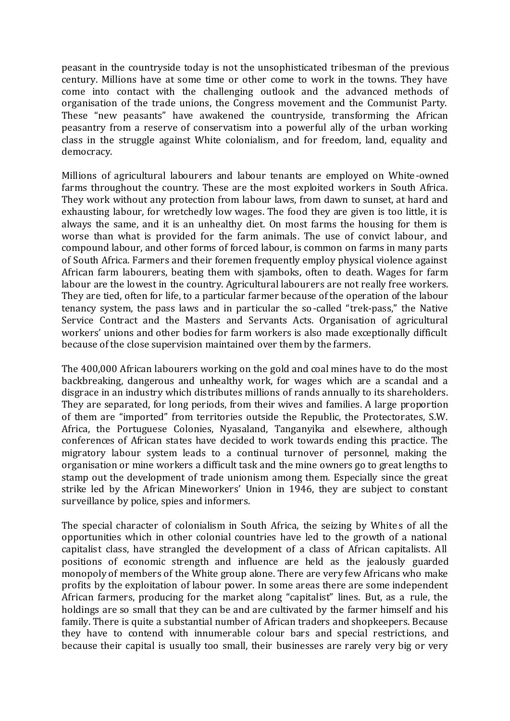peasant in the countryside today is not the unsophisticated tribesman of the previous century. Millions have at some time or other come to work in the towns. They have come into contact with the challenging outlook and the advanced methods of organisation of the trade unions, the Congress movement and the Communist Party. These "new peasants" have awakened the countryside, transforming the African peasantry from a reserve of conservatism into a powerful ally of the urban working class in the struggle against White colonialism, and for freedom, land, equality and democracy.

Millions of agricultural labourers and labour tenants are employed on White-owned farms throughout the country. These are the most exploited workers in South Africa. They work without any protection from labour laws, from dawn to sunset, at hard and exhausting labour, for wretchedly low wages. The food they are given is too little, it is always the same, and it is an unhealthy diet. On most farms the housing for them is worse than what is provided for the farm animals. The use of convict labour, and compound labour, and other forms of forced labour, is common on farms in many parts of South Africa. Farmers and their foremen frequently employ physical violence against African farm labourers, beating them with sjamboks, often to death. Wages for farm labour are the lowest in the country. Agricultural labourers are not really free workers. They are tied, often for life, to a particular farmer because of the operation of the labour tenancy system, the pass laws and in particular the so-called "trek-pass," the Native Service Contract and the Masters and Servants Acts. Organisation of agricultural workers' unions and other bodies for farm workers is also made exceptionally difficult because of the close supervision maintained over them by the farmers.

The 400,000 African labourers working on the gold and coal mines have to do the most backbreaking, dangerous and unhealthy work, for wages which are a scandal and a disgrace in an industry which distributes millions of rands annually to its shareholders. They are separated, for long periods, from their wives and families. A large proportion of them are "imported" from territories outside the Republic, the Protectorates, S.W. Africa, the Portuguese Colonies, Nyasaland, Tanganyika and elsewhere, although conferences of African states have decided to work towards ending this practice. The migratory labour system leads to a continual turnover of personnel, making the organisation or mine workers a difficult task and the mine owners go to great lengths to stamp out the development of trade unionism among them. Especially since the great strike led by the African Mineworkers' Union in 1946, they are subject to constant surveillance by police, spies and informers.

The special character of colonialism in South Africa, the seizing by Whites of all the opportunities which in other colonial countries have led to the growth of a national capitalist class, have strangled the development of a class of African capitalists. All positions of economic strength and influence are held as the jealously guarded monopoly of members of the White group alone. There are very few Africans who make profits by the exploitation of labour power. In some areas there are some independent African farmers, producing for the market along "capitalist" lines. But, as a rule, the holdings are so small that they can be and are cultivated by the farmer himself and his family. There is quite a substantial number of African traders and shopkeepers. Because they have to contend with innumerable colour bars and special restrictions, and because their capital is usually too small, their businesses are rarely very big or very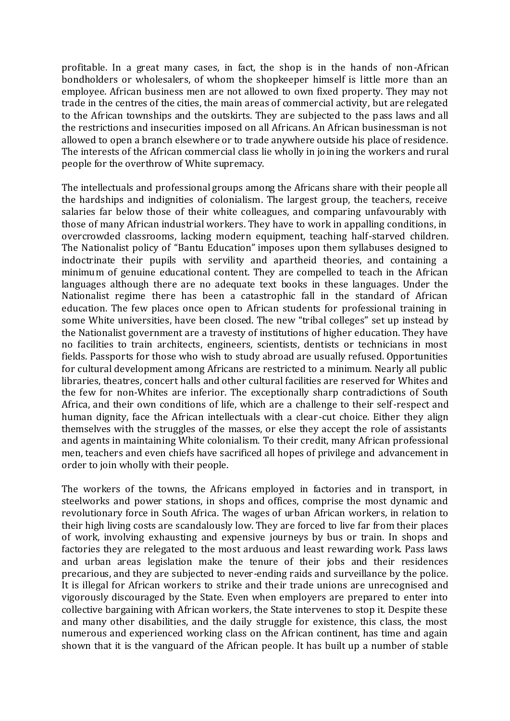profitable. In a great many cases, in fact, the shop is in the hands of non-African bondholders or wholesalers, of whom the shopkeeper himself is little more than an employee. African business men are not allowed to own fixed property. They may not trade in the centres of the cities, the main areas of commercial activity, but are relegated to the African townships and the outskirts. They are subjected to the pass laws and all the restrictions and insecurities imposed on all Africans. An African businessman is not allowed to open a branch elsewhere or to trade anywhere outside his place of residence. The interests of the African commercial class lie wholly in joining the workers and rural people for the overthrow of White supremacy.

The intellectuals and professional groups among the Africans share with their people all the hardships and indignities of colonialism. The largest group, the teachers, receive salaries far below those of their white colleagues, and comparing unfavourably with those of many African industrial workers. They have to work in appalling conditions, in overcrowded classrooms, lacking modern equipment, teaching half-starved children. The Nationalist policy of "Bantu Education" imposes upon them syllabuses designed to indoctrinate their pupils with servility and apartheid theories, and containing a minimum of genuine educational content. They are compelled to teach in the African languages although there are no adequate text books in these languages. Under the Nationalist regime there has been a catastrophic fall in the standard of African education. The few places once open to African students for professional training in some White universities, have been closed. The new "tribal colleges" set up instead by the Nationalist government are a travesty of institutions of higher education. They have no facilities to train architects, engineers, scientists, dentists or technicians in most fields. Passports for those who wish to study abroad are usually refused. Opportunities for cultural development among Africans are restricted to a minimum. Nearly all public libraries, theatres, concert halls and other cultural facilities are reserved for Whites and the few for non-Whites are inferior. The exceptionally sharp contradictions of South Africa, and their own conditions of life, which are a challenge to their self-respect and human dignity, face the African intellectuals with a clear-cut choice. Either they align themselves with the struggles of the masses, or else they accept the role of assistants and agents in maintaining White colonialism. To their credit, many African professional men, teachers and even chiefs have sacrificed all hopes of privilege and advancement in order to join wholly with their people.

The workers of the towns, the Africans employed in factories and in transport, in steelworks and power stations, in shops and offices, comprise the most dynamic and revolutionary force in South Africa. The wages of urban African workers, in relation to their high living costs are scandalously low. They are forced to live far from their places of work, involving exhausting and expensive journeys by bus or train. In shops and factories they are relegated to the most arduous and least rewarding work. Pass laws and urban areas legislation make the tenure of their jobs and their residences precarious, and they are subjected to never-ending raids and surveillance by the police. It is illegal for African workers to strike and their trade unions are unrecognised and vigorously discouraged by the State. Even when employers are prepared to enter into collective bargaining with African workers, the State intervenes to stop it. Despite these and many other disabilities, and the daily struggle for existence, this class, the most numerous and experienced working class on the African continent, has time and again shown that it is the vanguard of the African people. It has built up a number of stable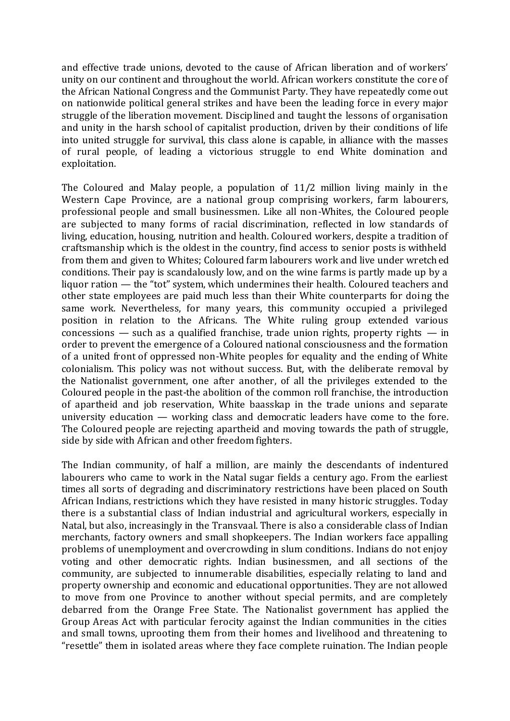and effective trade unions, devoted to the cause of African liberation and of workers' unity on our continent and throughout the world. African workers constitute the core of the African National Congress and the Communist Party. They have repeatedly come out on nationwide political general strikes and have been the leading force in every major struggle of the liberation movement. Disciplined and taught the lessons of organisation and unity in the harsh school of capitalist production, driven by their conditions of life into united struggle for survival, this class alone is capable, in alliance with the masses of rural people, of leading a victorious struggle to end White domination and exploitation.

The Coloured and Malay people, a population of 11/2 million living mainly in the Western Cape Province, are a national group comprising workers, farm labourers, professional people and small businessmen. Like all non-Whites, the Coloured people are subjected to many forms of racial discrimination, reflected in low standards of living, education, housing, nutrition and health. Coloured workers, despite a tradition of craftsmanship which is the oldest in the country, find access to senior posts is withheld from them and given to Whites; Coloured farm labourers work and live under wretched conditions. Their pay is scandalously low, and on the wine farms is partly made up by a liquor ration — the "tot" system, which undermines their health. Coloured teachers and other state employees are paid much less than their White counterparts for doing the same work. Nevertheless, for many years, this community occupied a privileged position in relation to the Africans. The White ruling group extended various  $concessions$  — such as a qualified franchise, trade union rights, property rights — in order to prevent the emergence of a Coloured national consciousness and the formation of a united front of oppressed non-White peoples for equality and the ending of White colonialism. This policy was not without success. But, with the deliberate removal by the Nationalist government, one after another, of all the privileges extended to the Coloured people in the past-the abolition of the common roll franchise, the introduction of apartheid and job reservation, White baasskap in the trade unions and separate university education — working class and democratic leaders have come to the fore. The Coloured people are rejecting apartheid and moving towards the path of struggle, side by side with African and other freedom fighters.

The Indian community, of half a million, are mainly the descendants of indentured labourers who came to work in the Natal sugar fields a century ago. From the earliest times all sorts of degrading and discriminatory restrictions have been placed on South African Indians, restrictions which they have resisted in many historic struggles. Today there is a substantial class of Indian industrial and agricultural workers, especially in Natal, but also, increasingly in the Transvaal. There is also a considerable class of Indian merchants, factory owners and small shopkeepers. The Indian workers face appalling problems of unemployment and overcrowding in slum conditions. Indians do not enjoy voting and other democratic rights. Indian businessmen, and all sections of the community, are subjected to innumerable disabilities, especially relating to land and property ownership and economic and educational opportunities. They are not allowed to move from one Province to another without special permits, and are completely debarred from the Orange Free State. The Nationalist government has applied the Group Areas Act with particular ferocity against the Indian communities in the cities and small towns, uprooting them from their homes and livelihood and threatening to "resettle" them in isolated areas where they face complete ruination. The Indian people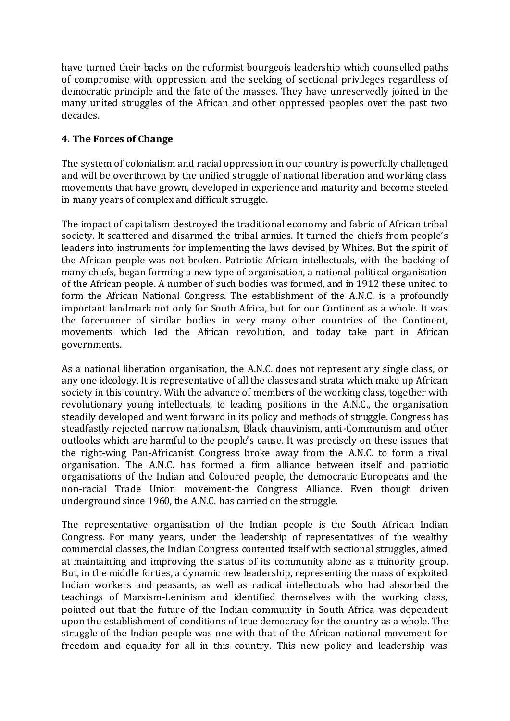have turned their backs on the reformist bourgeois leadership which counselled paths of compromise with oppression and the seeking of sectional privileges regardless of democratic principle and the fate of the masses. They have unreservedly joined in the many united struggles of the African and other oppressed peoples over the past two decades.

## **4. The Forces of Change**

The system of colonialism and racial oppression in our country is powerfully challenged and will be overthrown by the unified struggle of national liberation and working class movements that have grown, developed in experience and maturity and become steeled in many years of complex and difficult struggle.

The impact of capitalism destroyed the traditional economy and fabric of African tribal society. It scattered and disarmed the tribal armies. It turned the chiefs from people's leaders into instruments for implementing the laws devised by Whites. But the spirit of the African people was not broken. Patriotic African intellectuals, with the backing of many chiefs, began forming a new type of organisation, a national political organisation of the African people. A number of such bodies was formed, and in 1912 these united to form the African National Congress. The establishment of the A.N.C. is a profoundly important landmark not only for South Africa, but for our Continent as a whole. It was the forerunner of similar bodies in very many other countries of the Continent, movements which led the African revolution, and today take part in African governments.

As a national liberation organisation, the A.N.C. does not represent any single class, or any one ideology. It is representative of all the classes and strata which make up African society in this country. With the advance of members of the working class, together with revolutionary young intellectuals, to leading positions in the A.N.C., the organisation steadily developed and went forward in its policy and methods of struggle. Congress has steadfastly rejected narrow nationalism, Black chauvinism, anti-Communism and other outlooks which are harmful to the people's cause. It was precisely on these issues that the right-wing Pan-Africanist Congress broke away from the A.N.C. to form a rival organisation. The A.N.C. has formed a firm alliance between itself and patriotic organisations of the Indian and Coloured people, the democratic Europeans and the non-racial Trade Union movement-the Congress Alliance. Even though driven underground since 1960, the A.N.C. has carried on the struggle.

The representative organisation of the Indian people is the South African Indian Congress. For many years, under the leadership of representatives of the wealthy commercial classes, the Indian Congress contented itself with sectional struggles, aimed at maintaining and improving the status of its community alone as a minority group. But, in the middle forties, a dynamic new leadership, representing the mass of exploited Indian workers and peasants, as well as radical intellectuals who had absorbed the teachings of Marxism-Leninism and identified themselves with the working class, pointed out that the future of the Indian community in South Africa was dependent upon the establishment of conditions of true democracy for the country as a whole. The struggle of the Indian people was one with that of the African national movement for freedom and equality for all in this country. This new policy and leadership was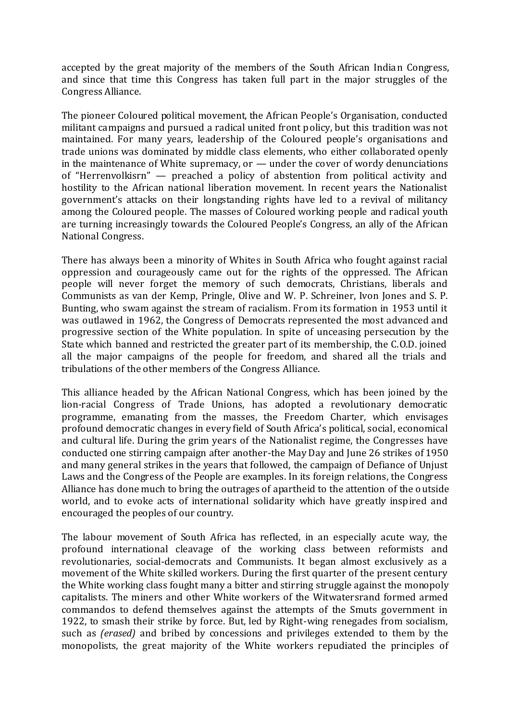accepted by the great majority of the members of the South African Indian Congress, and since that time this Congress has taken full part in the major struggles of the Congress Alliance.

The pioneer Coloured political movement, the African People's Organisation, conducted militant campaigns and pursued a radical united front policy, but this tradition was not maintained. For many years, leadership of the Coloured people's organisations and trade unions was dominated by middle class elements, who either collaborated openly in the maintenance of White supremacy,  $or$  — under the cover of wordy denunciations of "Herrenvolkisrn" — preached a policy of abstention from political activity and hostility to the African national liberation movement. In recent years the Nationalist government's attacks on their longstanding rights have led to a revival of militancy among the Coloured people. The masses of Coloured working people and radical youth are turning increasingly towards the Coloured People's Congress, an ally of the African National Congress.

There has always been a minority of Whites in South Africa who fought against racial oppression and courageously came out for the rights of the oppressed. The African people will never forget the memory of such democrats, Christians, liberals and Communists as van der Kemp, Pringle, Olive and W. P. Schreiner, Ivon Jones and S. P. Bunting, who swam against the stream of racialism. From its formation in 1953 until it was outlawed in 1962, the Congress of Democrats represented the most advanced and progressive section of the White population. In spite of unceasing persecution by the State which banned and restricted the greater part of its membership, the C.O.D. joined all the major campaigns of the people for freedom, and shared all the trials and tribulations of the other members of the Congress Alliance.

This alliance headed by the African National Congress, which has been joined by the lion-racial Congress of Trade Unions, has adopted a revolutionary democratic programme, emanating from the masses, the Freedom Charter, which envisages profound democratic changes in every field of South Africa's political, social, economical and cultural life. During the grim years of the Nationalist regime, the Congresses have conducted one stirring campaign after another-the May Day and June 26 strikes of 1950 and many general strikes in the years that followed, the campaign of Defiance of Unjust Laws and the Congress of the People are examples. In its foreign relations, the Congress Alliance has done much to bring the outrages of apartheid to the attention of the outside world, and to evoke acts of international solidarity which have greatly inspired and encouraged the peoples of our country.

The labour movement of South Africa has reflected, in an especially acute way, the profound international cleavage of the working class between reformists and revolutionaries, social-democrats and Communists. It began almost exclusively as a movement of the White skilled workers. During the first quarter of the present century the White working class fought many a bitter and stirring struggle against the monopoly capitalists. The miners and other White workers of the Witwatersrand formed armed commandos to defend themselves against the attempts of the Smuts government in 1922, to smash their strike by force. But, led by Right-wing renegades from socialism, such as *(erased)* and bribed by concessions and privileges extended to them by the monopolists, the great majority of the White workers repudiated the principles of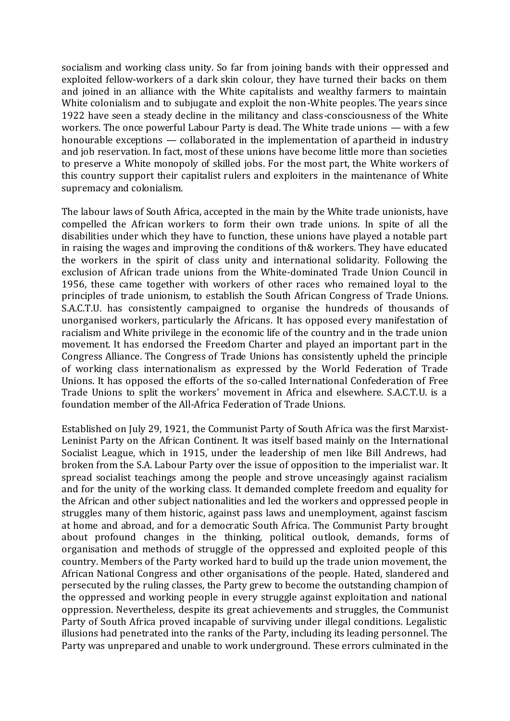socialism and working class unity. So far from joining bands with their oppressed and exploited fellow-workers of a dark skin colour, they have turned their backs on them and joined in an alliance with the White capitalists and wealthy farmers to maintain White colonialism and to subjugate and exploit the non-White peoples. The years since 1922 have seen a steady decline in the militancy and class-consciousness of the White workers. The once powerful Labour Party is dead. The White trade unions — with a few honourable exceptions — collaborated in the implementation of apartheid in industry and job reservation. In fact, most of these unions have become little more than societies to preserve a White monopoly of skilled jobs. For the most part, the White workers of this country support their capitalist rulers and exploiters in the maintenance of White supremacy and colonialism.

The labour laws of South Africa, accepted in the main by the White trade unionists, have compelled the African workers to form their own trade unions. In spite of all the disabilities under which they have to function, these unions have played a notable part in raising the wages and improving the conditions of th& workers. They have educated the workers in the spirit of class unity and international solidarity. Following the exclusion of African trade unions from the White-dominated Trade Union Council in 1956, these came together with workers of other races who remained loyal to the principles of trade unionism, to establish the South African Congress of Trade Unions. S.A.C.T.U. has consistently campaigned to organise the hundreds of thousands of unorganised workers, particularly the Africans. It has opposed every manifestation of racialism and White privilege in the economic life of the country and in the trade union movement. It has endorsed the Freedom Charter and played an important part in the Congress Alliance. The Congress of Trade Unions has consistently upheld the principle of working class internationalism as expressed by the World Federation of Trade Unions. It has opposed the efforts of the so-called International Confederation of Free Trade Unions to split the workers' movement in Africa and elsewhere. S.A.C.T.U. is a foundation member of the All-Africa Federation of Trade Unions.

Established on July 29, 1921, the Communist Party of South Africa was the first Marxist-Leninist Party on the African Continent. It was itself based mainly on the International Socialist League, which in 1915, under the leadership of men like Bill Andrews, had broken from the S.A. Labour Party over the issue of opposition to the imperialist war. It spread socialist teachings among the people and strove unceasingly against racialism and for the unity of the working class. It demanded complete freedom and equality for the African and other subject nationalities and led the workers and oppressed people in struggles many of them historic, against pass laws and unemployment, against fascism at home and abroad, and for a democratic South Africa. The Communist Party brought about profound changes in the thinking, political outlook, demands, forms of organisation and methods of struggle of the oppressed and exploited people of this country. Members of the Party worked hard to build up the trade union movement, the African National Congress and other organisations of the people. Hated, slandered and persecuted by the ruling classes, the Party grew to become the outstanding champion of the oppressed and working people in every struggle against exploitation and national oppression. Nevertheless, despite its great achievements and struggles, the Communist Party of South Africa proved incapable of surviving under illegal conditions. Legalistic illusions had penetrated into the ranks of the Party, including its leading personnel. The Party was unprepared and unable to work underground. These errors culminated in the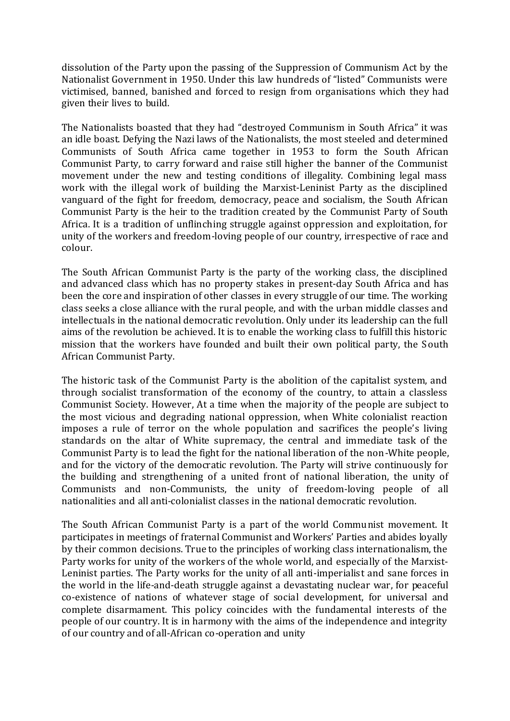dissolution of the Party upon the passing of the Suppression of Communism Act by the Nationalist Government in 1950. Under this law hundreds of "listed" Communists were victimised, banned, banished and forced to resign from organisations which they had given their lives to build.

The Nationalists boasted that they had "destroyed Communism in South Africa" it was an idle boast. Defying the Nazi laws of the Nationalists, the most steeled and determined Communists of South Africa came together in 1953 to form the South African Communist Party, to carry forward and raise still higher the banner of the Communist movement under the new and testing conditions of illegality. Combining legal mass work with the illegal work of building the Marxist-Leninist Party as the disciplined vanguard of the fight for freedom, democracy, peace and socialism, the South African Communist Party is the heir to the tradition created by the Communist Party of South Africa. It is a tradition of unflinching struggle against oppression and exploitation, for unity of the workers and freedom-loving people of our country, irrespective of race and colour.

The South African Communist Party is the party of the working class, the disciplined and advanced class which has no property stakes in present-day South Africa and has been the core and inspiration of other classes in every struggle of our time. The working class seeks a close alliance with the rural people, and with the urban middle classes and intellectuals in the national democratic revolution. Only under its leadership can the full aims of the revolution be achieved. It is to enable the working class to fulfill this historic mission that the workers have founded and built their own political party, the South African Communist Party.

The historic task of the Communist Party is the abolition of the capitalist system, and through socialist transformation of the economy of the country, to attain a classless Communist Society. However, At a time when the majority of the people are subject to the most vicious and degrading national oppression, when White colonialist reaction imposes a rule of terror on the whole population and sacrifices the people's living standards on the altar of White supremacy, the central and immediate task of the Communist Party is to lead the fight for the national liberation of the non-White people, and for the victory of the democratic revolution. The Party will strive continuously for the building and strengthening of a united front of national liberation, the unity of Communists and non-Communists, the unity of freedom-loving people of all nationalities and all anti-colonialist classes in the national democratic revolution.

The South African Communist Party is a part of the world Communist movement. It participates in meetings of fraternal Communist and Workers' Parties and abides loyally by their common decisions. True to the principles of working class internationalism, the Party works for unity of the workers of the whole world, and especially of the Marxist-Leninist parties. The Party works for the unity of all anti-imperialist and sane forces in the world in the life-and-death struggle against a devastating nuclear war, for peaceful co-existence of nations of whatever stage of social development, for universal and complete disarmament. This policy coincides with the fundamental interests of the people of our country. It is in harmony with the aims of the independence and integrity of our country and of all-African co-operation and unity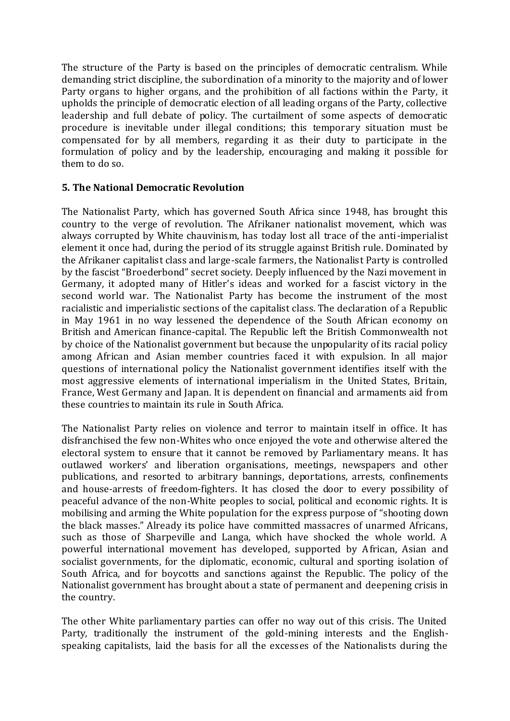The structure of the Party is based on the principles of democratic centralism. While demanding strict discipline, the subordination of a minority to the majority and of lower Party organs to higher organs, and the prohibition of all factions within the Party, it upholds the principle of democratic election of all leading organs of the Party, collective leadership and full debate of policy. The curtailment of some aspects of democratic procedure is inevitable under illegal conditions; this temporary situation must be compensated for by all members, regarding it as their duty to participate in the formulation of policy and by the leadership, encouraging and making it possible for them to do so.

### **5. The National Democratic Revolution**

The Nationalist Party, which has governed South Africa since 1948, has brought this country to the verge of revolution. The Afrikaner nationalist movement, which was always corrupted by White chauvinism, has today lost all trace of the anti-imperialist element it once had, during the period of its struggle against British rule. Dominated by the Afrikaner capitalist class and large-scale farmers, the Nationalist Party is controlled by the fascist "Broederbond" secret society. Deeply influenced by the Nazi movement in Germany, it adopted many of Hitler's ideas and worked for a fascist victory in the second world war. The Nationalist Party has become the instrument of the most racialistic and imperialistic sections of the capitalist class. The declaration of a Republic in May 1961 in no way lessened the dependence of the South African economy on British and American finance-capital. The Republic left the British Commonwealth not by choice of the Nationalist government but because the unpopularity of its racial policy among African and Asian member countries faced it with expulsion. In all major questions of international policy the Nationalist government identifies itself with the most aggressive elements of international imperialism in the United States, Britain, France, West Germany and Japan. It is dependent on financial and armaments aid from these countries to maintain its rule in South Africa.

The Nationalist Party relies on violence and terror to maintain itself in office. It has disfranchised the few non-Whites who once enjoyed the vote and otherwise altered the electoral system to ensure that it cannot be removed by Parliamentary means. It has outlawed workers' and liberation organisations, meetings, newspapers and other publications, and resorted to arbitrary bannings, deportations, arrests, confinements and house-arrests of freedom-fighters. It has closed the door to every possibility of peaceful advance of the non-White peoples to social, political and economic rights. It is mobilising and arming the White population for the express purpose of "shooting down the black masses." Already its police have committed massacres of unarmed Africans, such as those of Sharpeville and Langa, which have shocked the whole world. A powerful international movement has developed, supported by African, Asian and socialist governments, for the diplomatic, economic, cultural and sporting isolation of South Africa, and for boycotts and sanctions against the Republic. The policy of the Nationalist government has brought about a state of permanent and deepening crisis in the country.

The other White parliamentary parties can offer no way out of this crisis. The United Party, traditionally the instrument of the gold-mining interests and the Englishspeaking capitalists, laid the basis for all the excesses of the Nationalists during the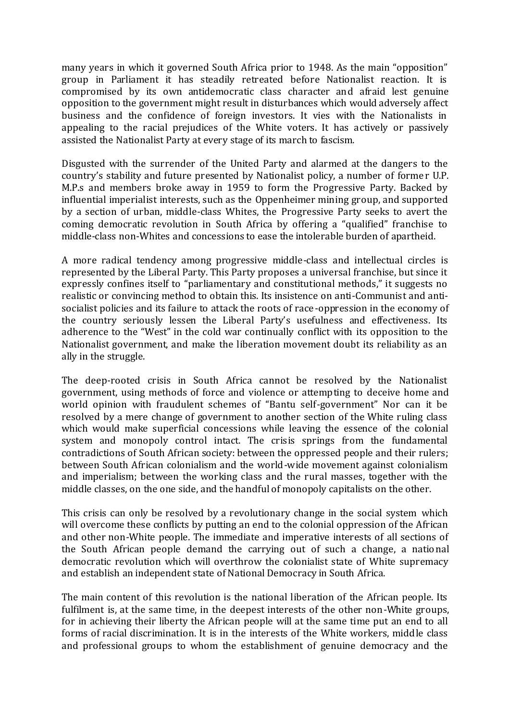many years in which it governed South Africa prior to 1948. As the main "opposition" group in Parliament it has steadily retreated before Nationalist reaction. It is compromised by its own antidemocratic class character and afraid lest genuine opposition to the government might result in disturbances which would adversely affect business and the confidence of foreign investors. It vies with the Nationalists in appealing to the racial prejudices of the White voters. It has actively or passively assisted the Nationalist Party at every stage of its march to fascism.

Disgusted with the surrender of the United Party and alarmed at the dangers to the country's stability and future presented by Nationalist policy, a number of former U.P. M.P.s and members broke away in 1959 to form the Progressive Party. Backed by influential imperialist interests, such as the Oppenheimer mining group, and supported by a section of urban, middle-class Whites, the Progressive Party seeks to avert the coming democratic revolution in South Africa by offering a "qualified" franchise to middle-class non-Whites and concessions to ease the intolerable burden of apartheid.

A more radical tendency among progressive middle-class and intellectual circles is represented by the Liberal Party. This Party proposes a universal franchise, but since it expressly confines itself to "parliamentary and constitutional methods," it suggests no realistic or convincing method to obtain this. Its insistence on anti-Communist and antisocialist policies and its failure to attack the roots of race-oppression in the economy of the country seriously lessen the Liberal Party's usefulness and effectiveness. Its adherence to the "West" in the cold war continually conflict with its opposition to the Nationalist government, and make the liberation movement doubt its reliability as an ally in the struggle.

The deep-rooted crisis in South Africa cannot be resolved by the Nationalist government, using methods of force and violence or attempting to deceive home and world opinion with fraudulent schemes of "Bantu self-government" Nor can it be resolved by a mere change of government to another section of the White ruling class which would make superficial concessions while leaving the essence of the colonial system and monopoly control intact. The crisis springs from the fundamental contradictions of South African society: between the oppressed people and their rulers; between South African colonialism and the world-wide movement against colonialism and imperialism; between the working class and the rural masses, together with the middle classes, on the one side, and the handful of monopoly capitalists on the other.

This crisis can only be resolved by a revolutionary change in the social system which will overcome these conflicts by putting an end to the colonial oppression of the African and other non-White people. The immediate and imperative interests of all sections of the South African people demand the carrying out of such a change, a national democratic revolution which will overthrow the colonialist state of White supremacy and establish an independent state of National Democracy in South Africa.

The main content of this revolution is the national liberation of the African people. Its fulfilment is, at the same time, in the deepest interests of the other non-White groups, for in achieving their liberty the African people will at the same time put an end to all forms of racial discrimination. It is in the interests of the White workers, middle class and professional groups to whom the establishment of genuine democracy and the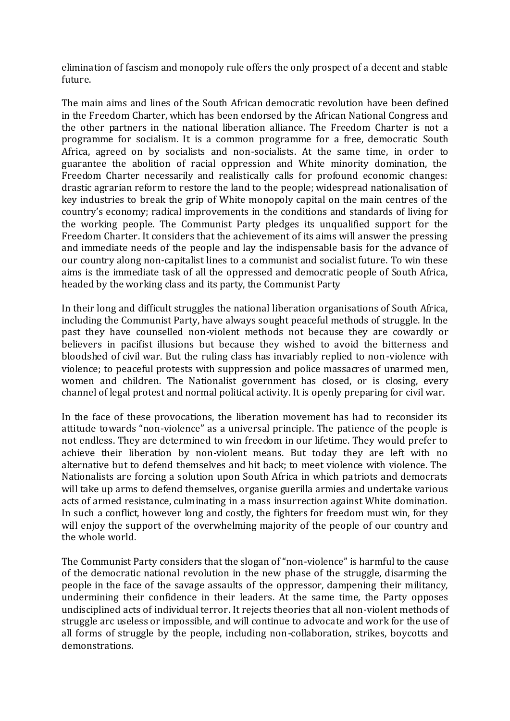elimination of fascism and monopoly rule offers the only prospect of a decent and stable future.

The main aims and lines of the South African democratic revolution have been defined in the Freedom Charter, which has been endorsed by the African National Congress and the other partners in the national liberation alliance. The Freedom Charter is not a programme for socialism. It is a common programme for a free, democratic South Africa, agreed on by socialists and non-socialists. At the same time, in order to guarantee the abolition of racial oppression and White minority domination, the Freedom Charter necessarily and realistically calls for profound economic changes: drastic agrarian reform to restore the land to the people; widespread nationalisation of key industries to break the grip of White monopoly capital on the main centres of the country's economy; radical improvements in the conditions and standards of living for the working people. The Communist Party pledges its unqualified support for the Freedom Charter. It considers that the achievement of its aims will answer the pressing and immediate needs of the people and lay the indispensable basis for the advance of our country along non-capitalist lines to a communist and socialist future. To win these aims is the immediate task of all the oppressed and democratic people of South Africa, headed by the working class and its party, the Communist Party

In their long and difficult struggles the national liberation organisations of South Africa, including the Communist Party, have always sought peaceful methods of struggle. In the past they have counselled non-violent methods not because they are cowardly or believers in pacifist illusions but because they wished to avoid the bitterness and bloodshed of civil war. But the ruling class has invariably replied to non-violence with violence; to peaceful protests with suppression and police massacres of unarmed men, women and children. The Nationalist government has closed, or is closing, every channel of legal protest and normal political activity. It is openly preparing for civil war.

In the face of these provocations, the liberation movement has had to reconsider its attitude towards "non-violence" as a universal principle. The patience of the people is not endless. They are determined to win freedom in our lifetime. They would prefer to achieve their liberation by non-violent means. But today they are left with no alternative but to defend themselves and hit back; to meet violence with violence. The Nationalists are forcing a solution upon South Africa in which patriots and democrats will take up arms to defend themselves, organise guerilla armies and undertake various acts of armed resistance, culminating in a mass insurrection against White domination. In such a conflict, however long and costly, the fighters for freedom must win, for they will enjoy the support of the overwhelming majority of the people of our country and the whole world.

The Communist Party considers that the slogan of "non-violence" is harmful to the cause of the democratic national revolution in the new phase of the struggle, disarming the people in the face of the savage assaults of the oppressor, dampening their militancy, undermining their confidence in their leaders. At the same time, the Party opposes undisciplined acts of individual terror. It rejects theories that all non-violent methods of struggle arc useless or impossible, and will continue to advocate and work for the use of all forms of struggle by the people, including non-collaboration, strikes, boycotts and demonstrations.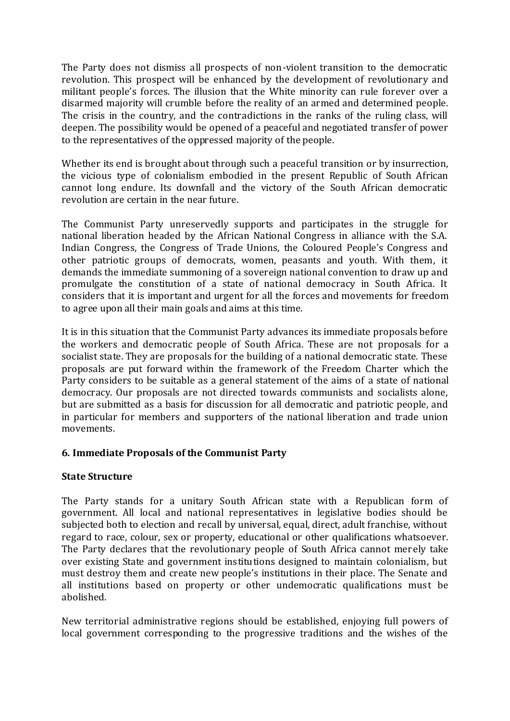The Party does not dismiss all prospects of non-violent transition to the democratic revolution. This prospect will be enhanced by the development of revolutionary and militant people's forces. The illusion that the White minority can rule forever over a disarmed majority will crumble before the reality of an armed and determined people. The crisis in the country, and the contradictions in the ranks of the ruling class, will deepen. The possibility would be opened of a peaceful and negotiated transfer of power to the representatives of the oppressed majority of the people.

Whether its end is brought about through such a peaceful transition or by insurrection, the vicious type of colonialism embodied in the present Republic of South African cannot long endure. Its downfall and the victory of the South African democratic revolution are certain in the near future.

The Communist Party unreservedly supports and participates in the struggle for national liberation headed by the African National Congress in alliance with the S.A. Indian Congress, the Congress of Trade Unions, the Coloured People's Congress and other patriotic groups of democrats, women, peasants and youth. With them, it demands the immediate summoning of a sovereign national convention to draw up and promulgate the constitution of a state of national democracy in South Africa. It considers that it is important and urgent for all the forces and movements for freedom to agree upon all their main goals and aims at this time.

It is in this situation that the Communist Party advances its immediate proposals before the workers and democratic people of South Africa. These are not proposals for a socialist state. They are proposals for the building of a national democratic state. These proposals are put forward within the framework of the Freedom Charter which the Party considers to be suitable as a general statement of the aims of a state of national democracy. Our proposals are not directed towards communists and socialists alone, but are submitted as a basis for discussion for all democratic and patriotic people, and in particular for members and supporters of the national liberation and trade union movements.

### **6. Immediate Proposals of the Communist Party**

## **State Structure**

The Party stands for a unitary South African state with a Republican form of government. All local and national representatives in legislative bodies should be subjected both to election and recall by universal, equal, direct, adult franchise, without regard to race, colour, sex or property, educational or other qualifications whatsoever. The Party declares that the revolutionary people of South Africa cannot merely take over existing State and government institutions designed to maintain colonialism, but must destroy them and create new people's institutions in their place. The Senate and all institutions based on property or other undemocratic qualifications must be abolished.

New territorial administrative regions should be established, enjoying full powers of local government corresponding to the progressive traditions and the wishes of the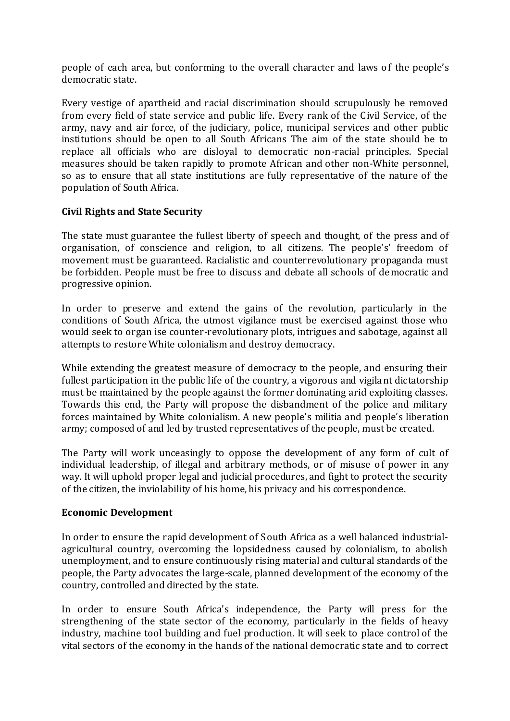people of each area, but conforming to the overall character and laws of the people's democratic state.

Every vestige of apartheid and racial discrimination should scrupulously be removed from every field of state service and public life. Every rank of the Civil Service, of the army, navy and air force, of the judiciary, police, municipal services and other public institutions should be open to all South Africans The aim of the state should be to replace all officials who are disloyal to democratic non-racial principles. Special measures should be taken rapidly to promote African and other non-White personnel, so as to ensure that all state institutions are fully representative of the nature of the population of South Africa.

## **Civil Rights and State Security**

The state must guarantee the fullest liberty of speech and thought, of the press and of organisation, of conscience and religion, to all citizens. The people's' freedom of movement must be guaranteed. Racialistic and counterrevolutionary propaganda must be forbidden. People must be free to discuss and debate all schools of democratic and progressive opinion.

In order to preserve and extend the gains of the revolution, particularly in the conditions of South Africa, the utmost vigilance must be exercised against those who would seek to organ ise counter-revolutionary plots, intrigues and sabotage, against all attempts to restore White colonialism and destroy democracy.

While extending the greatest measure of democracy to the people, and ensuring their fullest participation in the public life of the country, a vigorous and vigilant dictatorship must be maintained by the people against the former dominating arid exploiting classes. Towards this end, the Party will propose the disbandment of the police and military forces maintained by White colonialism. A new people's militia and people's liberation army; composed of and led by trusted representatives of the people, must be created.

The Party will work unceasingly to oppose the development of any form of cult of individual leadership, of illegal and arbitrary methods, or of misuse of power in any way. It will uphold proper legal and judicial procedures, and fight to protect the security of the citizen, the inviolability of his home, his privacy and his correspondence.

### **Economic Development**

In order to ensure the rapid development of South Africa as a well balanced industrialagricultural country, overcoming the lopsidedness caused by colonialism, to abolish unemployment, and to ensure continuously rising material and cultural standards of the people, the Party advocates the large-scale, planned development of the economy of the country, controlled and directed by the state.

In order to ensure South Africa's independence, the Party will press for the strengthening of the state sector of the economy, particularly in the fields of heavy industry, machine tool building and fuel production. It will seek to place control of the vital sectors of the economy in the hands of the national democratic state and to correct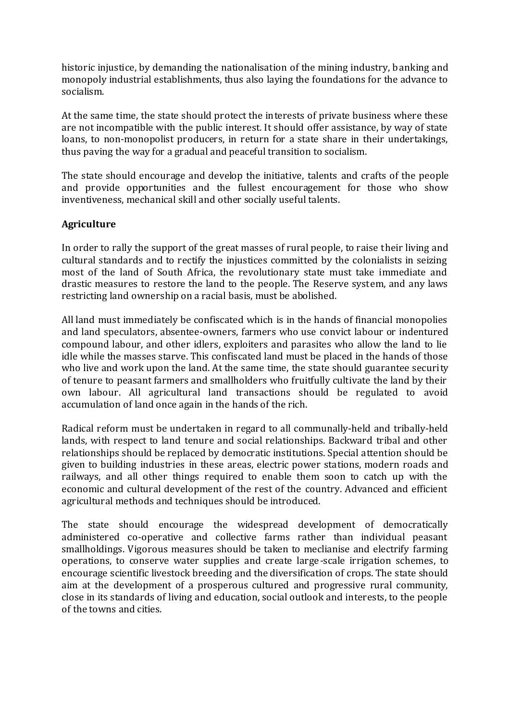historic injustice, by demanding the nationalisation of the mining industry, banking and monopoly industrial establishments, thus also laying the foundations for the advance to socialism.

At the same time, the state should protect the interests of private business where these are not incompatible with the public interest. It should offer assistance, by way of state loans, to non-monopolist producers, in return for a state share in their undertakings, thus paving the way for a gradual and peaceful transition to socialism.

The state should encourage and develop the initiative, talents and crafts of the people and provide opportunities and the fullest encouragement for those who show inventiveness, mechanical skill and other socially useful talents.

### **Agriculture**

In order to rally the support of the great masses of rural people, to raise their living and cultural standards and to rectify the injustices committed by the colonialists in seizing most of the land of South Africa, the revolutionary state must take immediate and drastic measures to restore the land to the people. The Reserve system, and any laws restricting land ownership on a racial basis, must be abolished.

All land must immediately be confiscated which is in the hands of financial monopolies and land speculators, absentee-owners, farmers who use convict labour or indentured compound labour, and other idlers, exploiters and parasites who allow the land to lie idle while the masses starve. This confiscated land must be placed in the hands of those who live and work upon the land. At the same time, the state should guarantee security of tenure to peasant farmers and smallholders who fruitfully cultivate the land by their own labour. All agricultural land transactions should be regulated to avoid accumulation of land once again in the hands of the rich.

Radical reform must be undertaken in regard to all communally-held and tribally-held lands, with respect to land tenure and social relationships. Backward tribal and other relationships should be replaced by democratic institutions. Special attention should be given to building industries in these areas, electric power stations, modern roads and railways, and all other things required to enable them soon to catch up with the economic and cultural development of the rest of the country. Advanced and efficient agricultural methods and techniques should be introduced.

The state should encourage the widespread development of democratically administered co-operative and collective farms rather than individual peasant smallholdings. Vigorous measures should be taken to meclianise and electrify farming operations, to conserve water supplies and create large-scale irrigation schemes, to encourage scientific livestock breeding and the diversification of crops. The state should aim at the development of a prosperous cultured and progressive rural community, close in its standards of living and education, social outlook and interests, to the people of the towns and cities.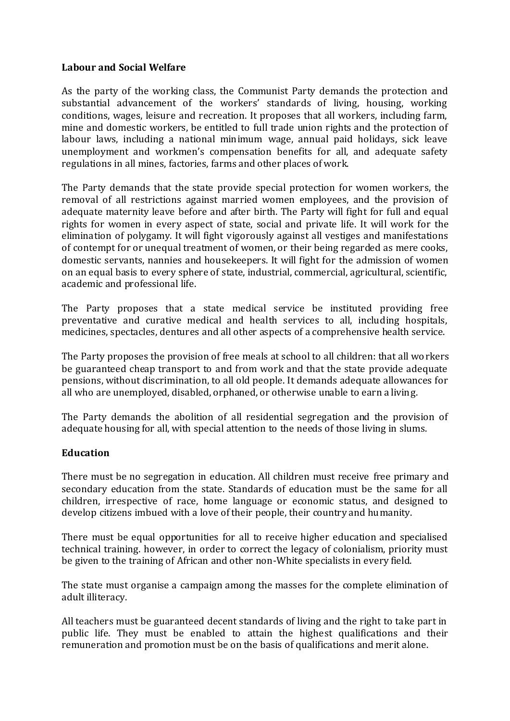#### **Labour and Social Welfare**

As the party of the working class, the Communist Party demands the protection and substantial advancement of the workers' standards of living, housing, working conditions, wages, leisure and recreation. It proposes that all workers, including farm, mine and domestic workers, be entitled to full trade union rights and the protection of labour laws, including a national minimum wage, annual paid holidays, sick leave unemployment and workmen's compensation benefits for all, and adequate safety regulations in all mines, factories, farms and other places of work.

The Party demands that the state provide special protection for women workers, the removal of all restrictions against married women employees, and the provision of adequate maternity leave before and after birth. The Party will fight for full and equal rights for women in every aspect of state, social and private life. It will work for the elimination of polygamy. It will fight vigorously against all vestiges and manifestations of contempt for or unequal treatment of women, or their being regarded as mere cooks, domestic servants, nannies and housekeepers. It will fight for the admission of women on an equal basis to every sphere of state, industrial, commercial, agricultural, scientific, academic and professional life.

The Party proposes that a state medical service be instituted providing free preventative and curative medical and health services to all, including hospitals, medicines, spectacles, dentures and all other aspects of a comprehensive health service.

The Party proposes the provision of free meals at school to all children: that all wo rkers be guaranteed cheap transport to and from work and that the state provide adequate pensions, without discrimination, to all old people. It demands adequate allowances for all who are unemployed, disabled, orphaned, or otherwise unable to earn a living.

The Party demands the abolition of all residential segregation and the provision of adequate housing for all, with special attention to the needs of those living in slums.

### **Education**

There must be no segregation in education. All children must receive free primary and secondary education from the state. Standards of education must be the same for all children, irrespective of race, home language or economic status, and designed to develop citizens imbued with a love of their people, their country and humanity.

There must be equal opportunities for all to receive higher education and specialised technical training. however, in order to correct the legacy of colonialism, priority must be given to the training of African and other non-White specialists in every field.

The state must organise a campaign among the masses for the complete elimination of adult illiteracy.

All teachers must be guaranteed decent standards of living and the right to take part in public life. They must be enabled to attain the highest qualifications and their remuneration and promotion must be on the basis of qualifications and merit alone.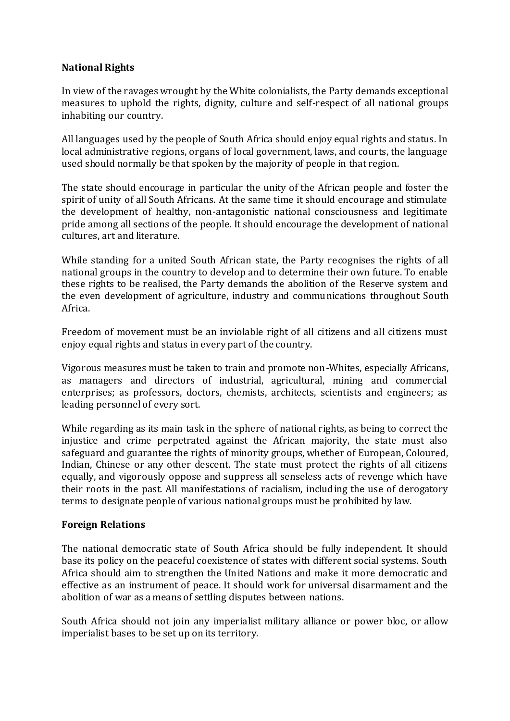### **National Rights**

In view of the ravages wrought by the White colonialists, the Party demands exceptional measures to uphold the rights, dignity, culture and self-respect of all national groups inhabiting our country.

All languages used by the people of South Africa should enjoy equal rights and status. In local administrative regions, organs of local government, laws, and courts, the language used should normally be that spoken by the majority of people in that region.

The state should encourage in particular the unity of the African people and foster the spirit of unity of all South Africans. At the same time it should encourage and stimulate the development of healthy, non-antagonistic national consciousness and legitimate pride among all sections of the people. It should encourage the development of national cultures, art and literature.

While standing for a united South African state, the Party recognises the rights of all national groups in the country to develop and to determine their own future. To enable these rights to be realised, the Party demands the abolition of the Reserve system and the even development of agriculture, industry and communications throughout South Africa.

Freedom of movement must be an inviolable right of all citizens and all citizens must enjoy equal rights and status in every part of the country.

Vigorous measures must be taken to train and promote non-Whites, especially Africans, as managers and directors of industrial, agricultural, mining and commercial enterprises; as professors, doctors, chemists, architects, scientists and engineers; as leading personnel of every sort.

While regarding as its main task in the sphere of national rights, as being to correct the injustice and crime perpetrated against the African majority, the state must also safeguard and guarantee the rights of minority groups, whether of European, Coloured, Indian, Chinese or any other descent. The state must protect the rights of all citizens equally, and vigorously oppose and suppress all senseless acts of revenge which have their roots in the past. All manifestations of racialism, including the use of derogatory terms to designate people of various national groups must be prohibited by law.

### **Foreign Relations**

The national democratic state of South Africa should be fully independent. It should base its policy on the peaceful coexistence of states with different social systems. South Africa should aim to strengthen the United Nations and make it more democratic and effective as an instrument of peace. It should work for universal disarmament and the abolition of war as a means of settling disputes between nations.

South Africa should not join any imperialist military alliance or power bloc, or allow imperialist bases to be set up on its territory.